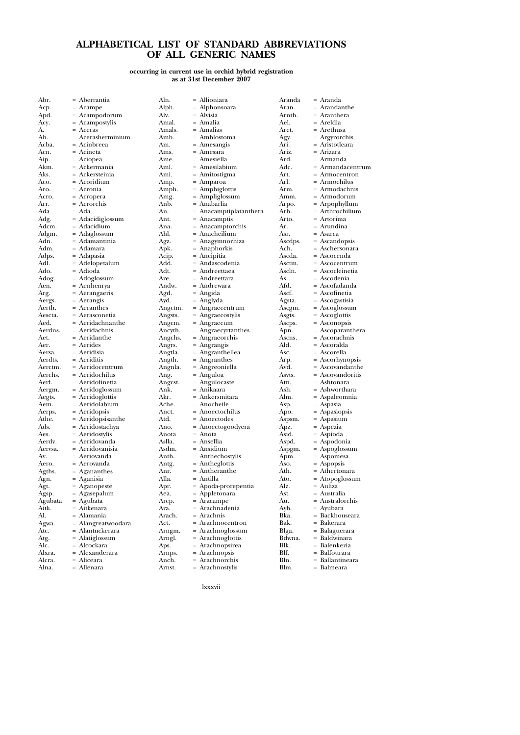## **ALPHABETICAL LIST OF STANDARD ABBREVIATIONS OF ALL GENERIC NAMES**

## **occurring in current use in orchid hybrid registration as at 31st December 2007**

| Abr.    | = Aberrantia       | Aln.    |
|---------|--------------------|---------|
| Acp.    | = Acampe           | Alph.   |
| Apd.    | = Acampodorum      | Alv.    |
| Acy.    | = Acampostylis     | Amal.   |
| A.      | = Aceras           | Amals.  |
| Ah.     | = Acerasherminium  | Amb.    |
| Acba.   | = Acinbreea        | Am.     |
| Acn.    | = Acineta          | Ams.    |
| Aip.    | = Aciopea          | Ame.    |
| Akm.    | = Ackermania       | Aml.    |
| Aks.    | = Ackersteinia     | Ami.    |
|         | = Acoridium        |         |
| Aco.    |                    | Amp.    |
| Aro.    | = Acronia          | Amph.   |
| Acro.   | = Acropera         | Amg.    |
| Arr.    | = Acrorchis        | Anb.    |
| Ada     | $= Ada$            | An.     |
| Adg.    | = Adacidiglossum   | Ant.    |
| Adcm.   | = Adacidium        | Ana.    |
| Adgm.   | = Adaglossum       | Ahl.    |
| Adn.    | = Adamantinia      | Agz.    |
| Adm.    | = Adamara          | Apk.    |
| Adps.   | = Adapasia         | Acip.   |
| Adl.    | = Adelopetalum     | Add.    |
| Ado.    | = Adioda           | Adt.    |
| Adog.   | = Adoglossum       | Are.    |
| Aen.    | = Aenhenrya        | Andw.   |
| Arg.    | = Aerangaeris      | Agd.    |
| Aergs.  | = Aerangis         | Ayd.    |
| Aerth.  | = Aeranthes        | Angctm. |
| Aescta. | = Aerasconetia     | Angsts. |
| Aed.    | = Aeridachnanthe   | Angcm.  |
| Aerdns. | = Aeridachnis      | Ancyth. |
| Aet.    | = Aeridanthe       | Angchs. |
| Aer.    | = Aerides          | Angrs.  |
| Aersa.  | = Aeridisia        |         |
| Aerdts. | = Aeriditis        | Angtla. |
| Aerctm. | = Aeridocentrum    | Angth.  |
|         |                    | Angnla. |
| Aerchs. | = Aeridochilus     | Ang.    |
| Aerf.   | = Aeridofinetia    | Angcst. |
| Aergm.  | = Aeridoglossum    | Ank.    |
| Aegts.  | = Aeridoglottis    | Akr.    |
| Aem.    | = Aeridolabium     | Ache.   |
| Aerps.  | = Aeridopsis       | Anct.   |
| Athe.   | = Aeridopsisanthe  | Atd.    |
| Ads.    | = Aeridostachya    | Ano.    |
| Aes.    | = Aeridostylis     | Anota   |
| Aerdv.  | = Aeridovanda      | Aslla.  |
| Aervsa. | = Aeridovanisia    | Asdm.   |
| Av.     | = Aeriovanda       | Anth.   |
| Aero.   | = Aerovanda        | Antg.   |
| Agths.  | = Agananthes       | Anr.    |
| Agn.    | = Aganisia         | Alla.   |
| Agt.    | = Aganopeste       | Apr.    |
| Agsp.   | = Agasepalum       | Aea.    |
| Agubata | = Agubata          | Arcp.   |
| Aitk.   | = Aitkenara        | Ara.    |
| Al.     | = Alamania         | Arach.  |
| Agwa.   | = Alangreatwoodara | Act.    |
| Atc.    | = Alantuckerara    | Arngm.  |
| Atg.    | = Alatiglossum     | Arngl.  |
| Alc.    | = Alcockara        | Aps.    |
| Alxra.  | = Alexanderara     | Arnps.  |
| Alcra.  | = Aliceara         | Anch.   |
| Alna.   | = Allenara         | Arnst.  |
|         |                    |         |
|         |                    |         |

= Allioniara = Alphonsoara Alvisia Amal. = Amalia = Amalias Amblostoma  $=$  Amesangis Amesara Amesiella Amesilabium = Amitostigma Amparoa Amphiglottis Amg. = Ampliglossum Anb. = Anabarlia Anacamptiplatanthera = Anacamptis Ana. = Anacamptorchis Ahl. = Anacheilium = Anagymnorhiza  $=$  Anaphorkis<br> $=$  Ancipitia Ancipitia = Andascodenia  $=$  Andreettaea<br> $=$  Andreettara Andreettara = Andrewara = Angida Anglyda Angraecentrum Angraecostylis Angraecum Angraecyrtanthes Angraeorchis Angrangis Angranthellea Angranthes Angreoniella Anguloa  $=$  Angulocaste Anikaara Ankersmitara Anocheile Anoectochilus = Anoectodes Anoectogoodyera  $=$  Anota = Ansellia  $=$  Ansidium  $=$  Anthechostylis<br> $=$  Antheolottis Antheglottis  $=$  Antheranthe  $=$  Antilla.  $=$  Apoda-prorepentia<br> $=$  Appletonara Appletonara Arcp. = Aracampe Ara. = Arachnadenia  $=$  Arachnis<br> $=$  Arachnoo Arachnocentron = Arachnoglossum = Arachnoglottis = Arachnopsirea  $=$  Arachnopsis<br> $=$  Arachnorchi Arachnorchis

Aranda = Aranda Aran. = Arandanthe<br>Arnth. = Aranthera Arnth. = Aranthera<br>Ael. = Areldia Ael. = Areldia<br>Aret. = Arethus Aret. = Arethusa<br>Agy. = Argyrorc Agy. = Argyrorchis<br>Ari. = Aristotleara Ari.  $=$  Aristotleara<br>Ariz.  $=$  Arizara Ariz. = Arizara<br>Ard. = Armano Ard. = Armanda<br>Adc. = Armanda Adc. = Armandacentrum<br>Art. = Armocentron Art. = Armocentron<br>Arl. = Armochilus Arl. = Armochilus<br>Arm. = Armodachn Arm. = Armodachnis<br>Amm. = Armodorum Amm. = Armodorum<br>Arpo. = Arpophyllum Arpo. = Arpophyllum Arh. = Arthrochilium Arto. = Artorima Ar.  $=$  Arundina<br>Asr  $=$  Asarca Asr. = Asarca<br>Ascdps. = Ascand Ascdps. = Ascandopsis<br>Ach. = Aschersonar Ach. = Aschersonara<br>Ascda. = Ascocenda Ascda. = Ascocenda<br>Asctm. = Ascocentru Asctm. = Ascocentrum<br>Asch. = Ascocleinetia = Ascocleinetia As. = Ascodenia<br>Afd. = Ascofadan Afd. = Ascofadanda<br>Ascf. = Ascofinetia Ascf. = Ascofinetia<br>Agsta. = Ascogastisia Agsta. = Ascogastisia<br>Ascgm. = Ascoglossun Ascgm. = Ascoglossum<br>Asgts. = Ascoglottis Asgts. = Ascoglottis<br>Ascps. = Asconopsis Ascps. = Asconopsis<br>Apn. = Ascoparant Apn. = Ascoparanthera<br>Ascns. = Ascorachnis  $\text{Asc} = \text{Ascorachnis}$ <br>Ald. = Ascoralda Ald. = Ascoralda<br>Asc. = Ascorella Asc. = Ascorella<br>Arp. = Ascorhyn Arp. = Ascorhynopsis<br>Avd. = Ascovandanthe  $\overrightarrow{\text{Avd}}_{\text{Asvts.}}$  = Ascovandanthe<br>Asvts. = Ascovandoritis Asvts. = Ascovandoritis<br>Atn. = Ashtonara Atn. = Ashtonara<br>Ash. = Ashwortha Ash. = Ashworthara<br>Alm. = Aspaleomnia Alm. = Aspaleomnia<br>Asp. = Aspasia Asp.  $=$  Aspasia<br>Apo.  $=$  Aspasio  $\text{Apo.}$  = Aspasiopsis<br>Aspsm. = Aspasium Aspsm. = Aspasium<br>Apz. = Aspezia<br>Asid. = Aspioda = Aspezia  $\text{Asid.} = \text{Aspioda}$ <br>Aspd.  $= \text{Aspodor}$ Aspd.  $=$  Aspodonia<br>Aspgm.  $=$  Aspoglossu  $\text{Aspan.}$  = Aspoglossum<br>Apm. = Aspomesa Apm.  $=$  Aspomesa<br>Aso.  $=$  Aspopsis  $\angle$ Aso. = Aspopsis<br>Ath. = Atherton Ath. = Athertonara<br>Ato. = Atopoglossu Ato. = Atopoglossum<br>Alz. = Auliza Alz.  $=$  Auliza<br>Ast.  $=$  Austra Ast.  $=$  Australia<br>Au.  $=$  Australia Au. = Australorchis<br>Ayb. = Ayubara Ayb. = Ayubara<br>Bka. = Backhou  $B$ ka. = Backhouseara<br>Bak = Bakerara Bak. = Bakerara<br>Blga. = Balaguera Blga. = Balaguerara<br>Bdwna. = Baldwinara Bdwna. = Baldwinara<br>Blk. = Balenkezia Blk. = Balenkezia<br>Blf = Balfourara Blf. = Balfourara<br>Bln. = Ballantinea Bln. = Ballantineara<br>Blm. = Balmeara Blm. = Balmeara

lxxxvii

= Arachnostylis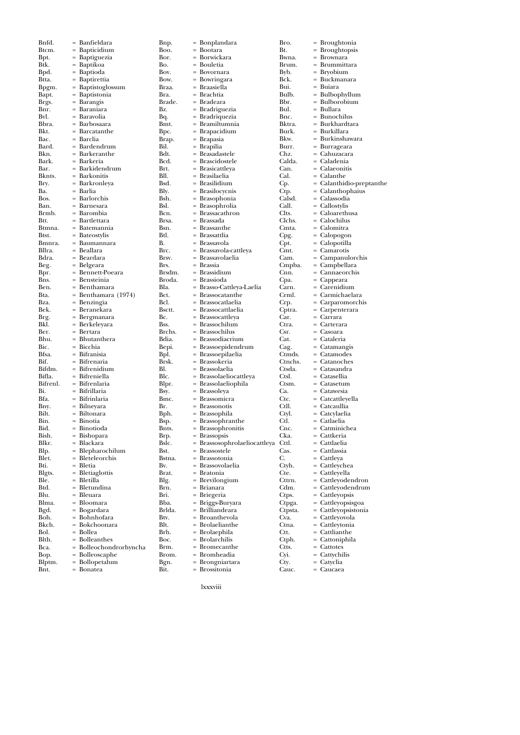| DIIIG.        | $=$ banneidara                                                          | nip.          | $=$ bonplanda   |
|---------------|-------------------------------------------------------------------------|---------------|-----------------|
| Btcm.         | = Bapticidium                                                           | Boo.          | = Bootara       |
| Bpt.          | = Baptiguezia                                                           | Bor.          | = Borwickara    |
|               |                                                                         |               |                 |
| Btk.          | = Baptikoa                                                              | Bo.           | = Bouletia      |
| Bpd.          | $=$ Baptioda                                                            | Bov.          | = Bovornara     |
| Btta.         | = Baptirettia                                                           | Bow.          | $=$ Bowringara  |
| Bpgm.         | = Baptistoglossum                                                       | Braa.         | = Braasiella    |
|               |                                                                         |               |                 |
| Bapt.         | = Baptistonia                                                           | Bra.          | = Brachtia      |
| Brgs.         | $=$ Barangis                                                            | Brade.        | $=$ Bradeara    |
| Bnr.          | = Baraniara                                                             | Bz.           | $=$ Bradriguez  |
| Bvl.          | = Baravolia                                                             | Bq.           | = Bradriquez    |
|               |                                                                         |               |                 |
| Bbra.         | = Barbosaara                                                            | Bmt.          | = Bramiltumı    |
| Bkt.          | = Barcatanthe                                                           | Bpc.          | = Brapacidiu:   |
| Bac.          | = Barclia                                                               | Brap.         | = Brapasia      |
| Bard.         | = Bardendrum                                                            | Bil.          | = Brapilia      |
|               |                                                                         |               |                 |
| Bkn.          | = Barkeranthe                                                           | Bdt.          | = Brasadastel   |
| Bark.         | = Barkeria                                                              | Bcd.          | = Brascidoste   |
| Bar.          | = Barkidendrum                                                          | Brt.          | = Brasicattley  |
|               |                                                                         | Bll.          | = Brasilaelia   |
|               | Bar. = Barkidend<br>Bknts. = Barkonitis<br>Bry. = Barkronley            |               |                 |
|               | = Barkronleya                                                           | Bsd.          | = Brasilidium   |
| Ba.           | = Barlia                                                                | Bly.          | = Brasilocycn   |
| Bos.          | = Barlorchis                                                            | Bsh.<br>Bsl.  | $=$ Brasophon   |
|               |                                                                         |               | = Brasophrol    |
|               | = Barnesara<br>= Barombia                                               |               |                 |
| Ban.<br>Brmb. |                                                                         | Bcn.          | $=$ Brassacathr |
|               | Btt. = Bartlettara<br>Btmna. = Batemannia                               | Brsa.<br>Bsn. | = Brassada      |
|               |                                                                         |               | = Brassanthe    |
| Btst.         |                                                                         |               | = Brassattlia   |
|               | = Bateostylis                                                           | Btl.          |                 |
|               | Bmnra. = Baumannara                                                     | В.            | = Brassavola    |
| Bllra.        | = Beallara                                                              | Brc.          | $=$ Brassavola- |
|               |                                                                         |               | = Brassavolae   |
| Bdra.<br>Beg. | = Beardara<br>= Belgeara                                                | Brsv.<br>Brs. |                 |
|               |                                                                         |               | = Brassia       |
| Bpr.<br>Bns.  | = Bennett-Poeara                                                        | Brsdm.        | = Brassidium    |
|               | = Bensteinia                                                            | Broda.        | = Brassioda     |
| Ben.          | = Benthamara                                                            | Bla.          | = Brasso-Catt   |
|               |                                                                         |               |                 |
|               | Bta. = Benthamara (1974)<br>Bza. = Benzingia                            | Bct.          | = Brassocatar   |
| Bza.          |                                                                         | Bcl.          | = Brassocatla   |
| Bek.<br>Brg.  | = Beranekara<br>= Bergmanara                                            | Bsctt.        | = Brassocattla  |
|               |                                                                         |               | = Brassocattle  |
|               | = Bergmanara                                                            | Bc.           |                 |
| Bkl.          | = Berkeleyara                                                           | Bss.          | = Brassochilu   |
|               | Ber. = Bertara                                                          | Brchs.        | = Brassochilu   |
| Bhu.          | $=$ Bhutanthera                                                         | Bdia.         | = Brassodiacı   |
|               |                                                                         |               |                 |
|               |                                                                         | Bepi.         | = Brassoepide   |
|               | Bic. = Biccina<br>Bfsa. = Bifranisia<br>$\sum_{n=0}^{\infty}$           | Bpl.          | = Brassoepila   |
| Bif.          | = Bifrenaria                                                            | Brsk.         | = Brassokeria   |
|               | $\begin{array}{lll} \text{Bifdm.} & = & \text{Bifrenidium} \end{array}$ | Bl.           | = Brassolaelia  |
|               |                                                                         |               |                 |
| Bifla.        | = Bifreniella                                                           | Blc.          | = Brassolaelio  |
|               | Bifrenl. = Bifrenlaria                                                  | Blpr.         | = Brassolaelio  |
| Bi.           | = Bifrillaria                                                           | Bsy.          | = Brassoleya    |
|               |                                                                         | Bmc.          |                 |
|               | Bfa. = Bifrinlaria<br>Bny. = Bilneyara                                  |               | = Brassomicra   |
|               |                                                                         | Br.           | = Brassonotis   |
| Bilt.         | = Biltonara                                                             | Bph.          | = Brassophila   |
| Bin.          | $= Binotia$                                                             | Bsp.          | = Brassophra    |
|               | = Binotioda                                                             |               | $=$ Brassophro  |
| Bid.          |                                                                         | Bnts.         |                 |
| Bish.         | = Bishopara                                                             | Brp.          | = Brassopsis    |
| Blkr.         | = Blackara                                                              | Bslc.         | = Brassosoph    |
| Blp.          | = Blepharochilum                                                        | Bst.          | = Brassostele   |
|               |                                                                         |               | = Brassotonia   |
| Blet.         | = Bleteleorchis                                                         | Bstna.        |                 |
| Bti.          | = Bletia                                                                | Bv.           | = Brassovolae   |
| Blgts.        | = Bletiaglottis                                                         | Brat.         | = Bratonia      |
| Ble.          | = Bletilla                                                              | Blg.          | = Brevilongiu   |
|               |                                                                         |               |                 |
| Btd.          | = Bletundina                                                            | Brn.          | = Brianara      |
| Blu.          | = Bleuara                                                               | Bri.          | = Briegeria     |
| Blma.         | = Bloomara                                                              | Bba.          | = Briggs-Bury   |
| Bgd.          |                                                                         | Brlda.        |                 |
|               | = Bogardara                                                             |               | = Brilliandea   |
| Boh.          | = Bohnhofara                                                            | Btv.          | = Broanthevo    |
| Bkch.         | = Bokchoonara                                                           | Blt.          | = Brolaeliant   |
| Bol.          | = Bollea                                                                | Brh.          | = Brolaephila   |
|               |                                                                         |               |                 |
| Blth.         | = Bolleanthes                                                           | Boc.          | = Brolarchilis  |
| Bca.          | = Bolleochondrorhyncha                                                  | Brm.          | = Bromecant     |
| Bop.          | = Bolleoscaphe                                                          | Brom.         | = Bromheadi     |
| Blptm.        | = Bollopetalum                                                          | Bgn.          | = Brongniart    |
| Bnt           | = Bonatea                                                               | Bit.          | = Brossitonia   |
|               |                                                                         |               |                 |

Bnfd. = Banfieldara

Bnp. = Bonplandara Boo. = Bootara Bor. = Borwickara essance = Bouletia<br>| Explorer = Boyorna Bov. = Bovornara Bow. = Bowringara braa. = Braasiella<br>bra. = Brachtia Bra. = Brachtia brade. = Bradeara<br>bz. = Bradrigue = Bradriguezia <sup>9</sup>q. = Bradriquezia<br>9 = Bramiltumnia  $=$  Bramiltumnia<br> $=$  Branacidium spc. = Brapacidium<br>srap. = Brapasia Brap. = Brapasia  $\begin{array}{rcl} \text{Bil.} & = & \text{Brapilia} \\ \text{Bil.} & = & \text{Brasadas} \end{array}$  $\begin{array}{rcl} \text{3} \text{d}t. & = \text{Brasadastele} \\ \text{3} \text{d}t. & = \text{Brascidostelele} \end{array}$ Scd. = Brascidostele<br>Srt. = Brasicattleya Brt. = Brasicattleya  $B = Brasilaelia$ <br>  $= Brasilaelia$ <br>  $= Brasili diun$ sd. = Brasilidium<br>|- Brasilocycni Soly. = Brasilocycnis<br>Sol. = Brasophonia Bsh. = Brasophonia  $\begin{array}{lll} \text{isl.} & = \text{Brasophrolia} \\ \text{6c.} & = \text{Brassacathro} \end{array}$ Scn. = Brassacathron<br>Srsa. = Brassada  $=$  Brassada<br> $=$  Brassant  $\begin{array}{lll} \text{is} \text{n.} & = \text{Brassanthe} \\ \text{stl.} & = \text{Brassattlia} \end{array}$  $=$  Brassattlia<br> $=$  Brassayola B. = Brassavola = Brassavola-cattleya  $\begin{array}{rcl} \text{Brass} & = & \text{Brassavolaelia} \\ \text{Brassia} & = & \text{Brassia} \end{array}$ Brs. = Brassia Brassidium<br>Broda. = Brassioda Broda. = Brassioda Brasso-Cattleya-Laelia  $\begin{array}{rcl} \text{Bct.} & = & \text{Brassocatanh} \\ \text{Bct.} & = & \text{Brassocata} \\ \end{array}$ Sch. = Brassocatlaelia<br>Sectt = Brassocattlaelia Brassocattlaelia  $\epsilon$ . = Brassocattleya  $\begin{array}{rcl} \text{loss.} & = \text{Brassochilum} \\ \text{Strchs} & = \text{Brassochilus} \end{array}$ Seconds<br>Schilus = Brassochilus<br>Gia. = Brassodiacriu Bdia. = Brassodiacrium Bepi. = Brassoepidendrum Bpl. = Brassoepilaelia irsk. = Brassokeria<br>il. = Brassolaelia Bl. = Brassolaelia Slc. = Brassolaeliocattleya<br>|lpr. = Brassolaeliophila Brassolaeliophila Bsy. = Brassoleya  $\text{Imc.}$  = Brassomicra<br>  $\text{Br.}$  = Brassonotis Sr. = Brassonotis<br>Sph. = Brassophila Sph. = Brassophila<br>Sp. = Brassophrai  $\sinh$  = Brassophranthe<br> $\sinh$  = Brassophronitis Brassophronitis  $\begin{array}{lll} \text{Sip.} & = & \text{Brassopsis} \\ \text{Silc} & = & \text{Brassoson} \end{array}$  $\text{Isic.} = \text{Brassosophrolaeliocattleya}$ <br>st. = Brassostele st.  $=$  Brassostele<br>stna.  $=$  Brassotonia Brassotonia Bv. = Brassovolaelia Strat. = Bratonia<br>Silg. = Brevilong Brevilongium Brn. = Brianara Sri. = Briegeria<br>Sba. = Briggs-Bu Bba. = Briggs-Buryara  $=$  Brilliandeara Btv. = Broanthevola  $\begin{array}{rcl} \text{Sht.} & = & \text{Brolaelian} \ \text{Brolachila} & = & \text{Brolachila} \end{array}$ Brolaephila  $\begin{array}{rcl} \text{loc.} & = & \text{Brolarchilis} \\ \text{km} & = & \text{Bromecant} \end{array}$ Brm. = Bromecanthe Brom. = Bromheadia Bgn. = Brongniartara

Bro. = Broughtonia<br>Bt. = Broughtonsis = Broughtopsis Bwna. = Brownara Brum. = Brummittara<br>Byb. = Bryobium Byb. = Bryobium<br>Bck. = Buckmana  $=$  Buckmanara Bui. = Buiara<br>Bulb. = Bulbop Bulb. = Bulbophyllum<br>Bbr. = Bulborobium Bbr. = Bulborobium<br> $Bul = Bullara$ Bul. = Bullara<br>Bnc. = Bunoch Bnc. = Bunochilus<br>Bktra. = Burkhardta Bktra. = Burkhardtara<br>Burk = Burkillara Burk. = Burkillara<br>Bkw. = Burkinsha Bkw. = Burkinshawara<br>Burr. = Burrageara Burr. = Burrageara<br>Chz. = Cahuzacara Chz. = Cahuzacara Calda. = Caladenia Can. = Calaeonitis<br>Cal. = Calanthe Cal. = Calanthe<br>Cp. = Calanthic Cp. = Calanthidio-preptanthe<br>Ctp. = Calanthophaius Ctp. = Calanthophaius<br>Calsd. = Calassodia Calsd. = Calassodia<br>Call. = Callostylis Call. = Callostylis<br>Clts. = Caloareth Clts. = Caloarethusa<br>Clchs. = Calochilus Clchs. = Calochilus Cmta. = Calomitra<br>Cpg. = Calopogoi Cpg. = Calopogon<br>Cpt. = Calopotilla  $Cpt.$  = Calopotilla<br>Cmt. = Camarotis  $\begin{array}{ll}\n\text{Cmt.} & = \text{Camarotis} \\
\text{Cam.} & = \text{Campanul}\n\end{array}$ Cam. = Campanulorchis Cmpba. = Campbellara<br>Cnn. = Cannaeorchi  $=$  Cannaeorchis Cpa. = Cappeara Carn. = Carenidium Crml. = Carmichaelara Crp. = Carparomorchis  $=$  Carpenterara Car. = Carrara Ctra. = Carterara<br>Csr = Casoara Csr. = Casoara<br>Cat. = Cataleria Cat. = Cataleria<br>Cag. = Catamang Cag. = Catamangis<br>Ctmds. = Catamodes Ctmds. = Catamodes<br>Ctnchs. = Catanoches Ctnchs. = Catanoches Ctsda. = Catasandra<br>Ctsl. = Catasellia Ctsl. = Catasellia<br>Ctsm. = Catasetun Ctsm. = Catasetum<br>Ca. = Catawesia Ca. = Catawesia<br>Ctc = Catcattleve Ctc. = Catcattleyella<br>Ctll. = Catcaullia Ctll. = Catcaullia<br>Ctyl. = Catcylaelia Ctyl. = Catcylaelia<br>Ctl = Catlaelia Ctl. = Catlaelia<br>Cnc. = Catminic Cnc. = Catminichea<br>Cka. = Cattkeria Cka. = Cattkeria<br>Cttl. = Cattlaelia Cttl. = Cattlaelia<br>Cas. = Cattlassia = Cattlassia C. = Cattleya<br>Ctyh. = Cattleych Ctyh. = Cattleychea<br>Cte. = Cattleyella Cte. = Cattleyella<br>Cttrn. = Cattleyode Cttrn. = Cattleyodendron<br>Cdm. = Cattleyodendrum Cdm. = Cattleyodendrum<br>Ctps. = Cattleyopsis Ctps. = Cattleyopsis<br>Ctpga. = Cattleyopsis Ctpga. = Cattleyopsisgoa<br>Ctpsta. = Cattleyopsistoni Ctpsta. = Cattleyopsistonia Cva. = Cattleyovola Ctna. = Cattleytonia<br>Ctt = Cattlianthe Ctt. = Cattlianthe<br>Ctph. = Cattoniphil Ctph.  $=$  Cattoniphila<br>Ctts.  $=$  Cattotes Ctts. = Cattotes<br>Cyi. = Cattychi Cyi. = Cattychilis Cty. = Catyclia Cauc. = Caucaea

lxxxviii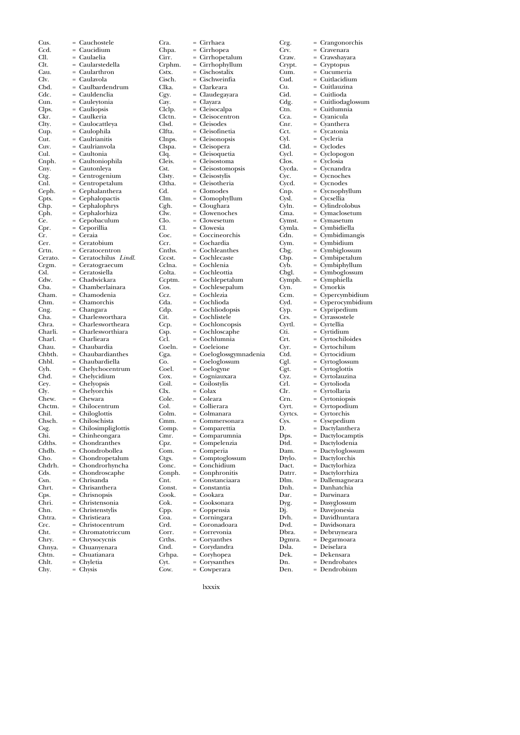| Cus.              | = Cauchostele                            | Cra.            | = Cirrhaea                      |
|-------------------|------------------------------------------|-----------------|---------------------------------|
| Ccd.              | = Caucidium                              | Chpa.           | = Cirrhopea                     |
| CII.              | = Caulaelia                              | Cirr.           | = Cirrhopetal                   |
| Clt.              | = Caularstedella                         | Crphm.          | $=$ Cirrhophyll                 |
| Cau.              | = Caularthron                            | Cstx.           | = Cischostalix                  |
| Clv.<br>Cbd.      | = Caulavola<br>= Caulbardendrum          | Cisch.<br>Clka. | = Cischweinfi<br>= Clarkeara    |
| Cdc.              | = Cauldenclia                            | Cgy.            | = Claudegaya                    |
| Cun.              | = Cauleytonia                            | Cay.            | = Clayara                       |
| Clps.             | = Cauliopsis                             | Clclp.          | = Cleisocalpa                   |
| Ckr.              | = Caulkeria                              | Clctn.          | = Cleisocentr                   |
| Clty.             | = Caulocattleya                          | Clsd.           | = Cleisodes                     |
| Cup.              | = Caulophila                             | Clfta.          | = Cleisofineti                  |
| Cut.              | = Caulrianitis                           | Clnps.          | = Cleisonopsi                   |
| Cuv.              | = Caulrianvola                           | Clspa.          | = Cleisopera                    |
| Cul.              | = Caultonia                              | Clq.<br>Cleis.  | = Cleisoqueti:<br>= Cleisostoma |
| Cnph.<br>Cny.     | = Caultoniophila<br>= Cautonleya         | Cst.            | = Cleisostomo                   |
| Ctg.              | = Centrogenium                           | Clsty.          | = Cleisostylis                  |
| Cnl.              | = Centropetalum                          | Cltha.          | = Cleisotheria                  |
| Ceph.             | = Cephalanthera                          | Cd.             | $=$ Clomodes                    |
| Cpts.             | = Cephalopactis                          | Clm.            | = Clomophyll                    |
| Chp.              | = Cephalophrys                           | Cgh.            | = Cloughara                     |
| Cph.              | = Cephalorhiza                           | Clw.            | = Clowenoch                     |
| Ce.               | = Cepobaculum                            | Clo.            | = Clowesetun                    |
| Cpr.              | = Ceporillia                             | Cl.             | = Clowesia                      |
| Cr.               | = Ceraia<br>= Ceratobium                 | Coc.<br>Ccr.    | = Coccineorc<br>= Cochardia     |
| Cer.<br>Crtn.     | = Ceratocentron                          | Cnths.          | = Cochleanth                    |
| Cerato.           | = Ceratochilus Lindl.                    | Cccst.          | = Cochlecaste                   |
| Crgm.             | = Ceratograecum                          | Cclna.          | = Cochlenia                     |
| Csl.              | = Ceratosiella                           | Colta.          | = Cochleottia                   |
| Cdw.              | = Chadwickara                            | Ccptm.          | = Cochlepeta                    |
| Cba.              | = Chamberlainara                         | Cos.            | = Cochlesepa                    |
| Cham.             | = Chamodenia                             | Ccz.            | = Cochlezia                     |
| Chm.              | = Chamorchis                             | Cda.            | = Cochlioda                     |
| Cng.              | = Changara                               | Cdp.            | $= Cochliodop$                  |
| Cha.              | $=$ Charlesworthara                      | Cit.            | = Cochlistele                   |
| Chra.             | = Charleswortheara<br>= Charlesworthiara | Ccp.            | $= Cochlonco$<br>= Cochloscap   |
| Charli.<br>Charl. | = Charlieara                             | Csp.<br>Ccl.    | = Cochlumni                     |
| Chau.             | = Chaubardia                             | Coeln.          | = Coeleione                     |
| Chbth.            | $=$ Chaubardianthes                      | Cga.            | $=$ Coeloglossg                 |
| Chbl.             | = Chaubardiella                          | Co.             | = Coeloglossu                   |
| Cyh.              | = Chelychocentrum                        | Coel.           | = Coelogyne                     |
| Chd.              | = Chelycidium                            | Cox.            | = Cogniauxar                    |
| Cey.              | $=$ Chelyopsis                           | Coil.           | $=$ Coilostylis                 |
| Cly.              | $=$ Chelyorchis                          | Clx.            | $=$ Colax                       |
| Chew.             | $=$ Chewara                              | Cole.           | = Coleara                       |
| Chctm.<br>Chil.   | = Chilocentrum<br>= Chiloglottis         | Col.<br>Colm.   | = Collierara<br>= Colmanara     |
| Chsch.            | = Chiloschista                           | Cmm.            | = Commersor                     |
| Csg.              | $=$ Chilosimpliglottis                   | Comp.           | = Comparetti                    |
| Chi.              | = Chinheongara                           | Cmr.            | = Comparum                      |
| Cdths.            | = Chondranthes                           | Cpz.            | = Compelenz                     |
| Chdb.             | = Chondrobollea                          | Com.            | = Comperia                      |
| Cho.              | = Chondropetalum                         | Ctgs.           | = Comptoglo                     |
| Chdrh.            | = Chondrorhyncha                         | Conc.           | = Conchidiur                    |
| Cds.              | = Chondroscaphe                          | Conph.          | = Conphroni                     |
| Csn.              | = Chrisanda                              | Cnt.            | = Constancia:                   |
| Chrt.             | = Chrisanthera                           | Const.<br>Cook. | = Constantia                    |
| Cps.<br>Chri.     | = Chrisnopsis<br>= Christensonia         | Cok.            | = Cookara<br>= Cooksonara       |
| Chn.              | = Christenstylis                         | Cpp.            | = Coppensia                     |
| Chtra.            | = Christieara                            | Coa.            | = Corningara                    |
| Crc.              | = Christocentrum                         | Crd.            | = Coronadoa                     |
| Cht.              | = Chromatotriccum                        | Corr.           | = Correvonia                    |
| Chry.             | = Chrysocycnis                           | Crths.          | $=$ Coryanthes                  |
| Chnya.            | = Chuanyenara                            | Cnd.            | = Corydandra                    |
| Chtn.             | = Chuatianara                            | Crhpa.          | = Coryhopea                     |
| Chlt.             | = Chyletia                               | Cyt.<br>Cow.    | = Corysanthe                    |
| Chy.              | = Chysis                                 |                 | = Cowperara                     |

Cra. = Cirrhaea Chpa. = Cirrhopea Cirr. = Cirrhopetalum Crphm. = Cirrhophyllum Cstx. = Cischostalix Cisch. = Cischweinfia Clka. = Clarkeara = Claudegayara = Clayara = Cleisocalpa  $=$  Cleisocentron<br> $=$  Cleisodes  $=$  Cleisodes<br> $=$  Cleisofine = Cleisofinetia<br>= Cleisonopsis s. = Cleisonopsis<br>u. = Cleisopera  $=$  Cleisopera<br> $=$  Cleisoqueti  $=$  Cleisoquetia<br> $=$  Cleisostoma = Cleisostoma<br>= Cleisostomo Cleisostomopsis = Cleisostylis  $=$  Cleisotheria<br> $=$  Clomodes Clomodes  $=$  Clomophyllum  $=$  Cloughara = Clowenoches Clo. = Clowesetum = Clowesia  $=$  Coccineorchis Ccr. = Cochardia  $s. = Cochleanthes$ = Cochlecaste Cclna. = Cochlenia a. = Cochleottia<br>m. = Cochlepetal Ccptm. = Cochlepetalum Cos. = Cochlesepalum  $=$  Cochlezia  $=$  Cochlioda  $=$  Cochliodopsis Cit. = Cochlistele Ccp. = Cochloncopsis Csp. = Cochloscaphe  $=$  Cochlumnia<br>  $=$  Coeleione Coeln. = Coeleione Cga. = Coeloglossgymnadenia  $=$  Coeloglossum = Coelogyne  $=$  Cogniauxara = Coilostylis  $=$  Colax = Coleara = Collierara<br>= Colmanara Colmanara n. = Commersonara<br>p. = Comparettia  $=$  Comparettia<br> $=$  Comparumn = Comparumnia<br>= Compelenzia Compelenzia  $=$  Comperia  $=$  Comptoglossum  $\begin{array}{lll} \text{c.} & = \text{Conchidium} \\ \text{oh.} & = \text{Comphronitis} \end{array}$ Conphronitis = Constanciaara t. = Constantia  $=$  Cookara  $=$  Cooksonara Cpp. = Coppensia Coa. = Corningara Crd. = Coronadoara = Correvonia  $=$  Coryanthes  $=$  Corydandra a. = Coryhopea = Corysanthes

| Crg.            | $=$        | Crangonorchis                   |
|-----------------|------------|---------------------------------|
| Crv.            |            | Cravenara                       |
| Craw.           | $=$        | Crawshayara                     |
| Crypt.          | $=$        | Cryptopus                       |
| Cum.            |            | Cucumeria                       |
| Cud.            | $=$        | Cuitlacidium                    |
| Cu.<br>Cid.     |            | Cuitlauzina<br>Cuitlioda        |
|                 |            |                                 |
| Cdg.            | $=$<br>$=$ | Cuitliodaglossum                |
| Ctn.<br>Cca.    |            | Cuitlumnia<br>Cyanicula         |
| Cnr.            |            | Cyanthera                       |
| Cct.            | $=$<br>=   | Cycatonia                       |
| Cyl.            |            | Cycleria                        |
| Cld.            | $=$        | Cyclodes                        |
| Cycl.           |            | Cyclopogon                      |
| Clos.           |            | Cyclosia                        |
| Cycda.          | $=$        | Cycnandra                       |
| Cyc.            |            | Cycnoches                       |
| Cycd.           |            | Cycnodes                        |
| Cnp.            | $=$        | Cycnophyllum                    |
| Cysl.           | $=$        | Cycsellia                       |
| Cyln.           |            | Cylindrolobus                   |
| Cma.            | $=$        | Cymaclosetum                    |
| Cymst.          | =          | Cymasetum                       |
| Cymla.          |            | Cymbidiella                     |
| Cdn.            | $=$        | Cymbidimangis                   |
| Cym.            |            | Cymbidium                       |
| Cbg.            |            | Cymbiglossum                    |
| Cbp.            | $=$        | Cymbipetalum                    |
| Cyb.            |            | Cymbiphyllum                    |
| Cbgl.           |            | Cymboglossum                    |
| Cymph.          | $=$        | Cymphiella                      |
| Cyn.            | $=$        | Cynorkis                        |
| Ccm.            |            | Cypercymbidium                  |
| Cyd.            | $=$        | Cyperocymbidium                 |
|                 | =          |                                 |
|                 |            |                                 |
| Cyp.            |            | Cypripedium                     |
| Crs.            | $=$        | Cyrassostele                    |
| Cyrtl.          |            | Cyrtellia                       |
| Cti.<br>Crt.    |            | Cyrtidium                       |
|                 | $=$        | Cyrtochiloides                  |
| Cyr.<br>Ctd.    | $=$        | Cyrtochilum                     |
|                 | $=$        | Cyrtocidium                     |
| Cgl.            | $=$        | Cyrtoglossum                    |
| Cgt.            | $=$        | Cyrtoglottis<br>Cyrtolauzina    |
| Cyz.<br>Crl.    | $=$        | Cyrtolioda                      |
| Clr.            | $=$        | Cyrtollaria                     |
| Crn.            | $=$        | Cyrtoniopsis                    |
| Cyrt.           | $=$        |                                 |
|                 | $=$        | Cyrtopodium<br>Cyrtorchis       |
| Cyrtcs.<br>Cys. |            | Cysepedium                      |
|                 | $=$        |                                 |
| D.<br>Dps.      | $=$        | Dactylanthera<br>Dactylocamptis |
| Dtd.            |            | Dactylodenia                    |
| Dam.            | $=$        | Dactyloglossum                  |
| Dtylo.          | $=$        | Dactylorchis                    |
| Dact.           | $=$        | Dactylorhiza                    |
| Datrr.          | $=$        | Dactylorrhiza                   |
| Dlm.            | $=$        | Dallemagneara                   |
| Dnh.            |            | Danhatchia                      |
| Dar.            | $=$        | Darwinara                       |
| Dyg.            | $=$        | Dasyglossum                     |
| Dj.             | $=$        | Davejonesia                     |
| Dvh.            | $=$        | Davidhuntara                    |
| Dvd.            | $=$        | Davidsonara                     |
| Dbra.           |            | Debruyneara                     |
| Dgmra.          | $=$        | Degarmoara                      |
| Dsla.           | $=$        | Deiselara                       |
| Dek.            | $=$        | Dekensara                       |
| Dn.<br>Den.     | $=$<br>$=$ | Dendrobates<br>Dendrobium       |

lxxxix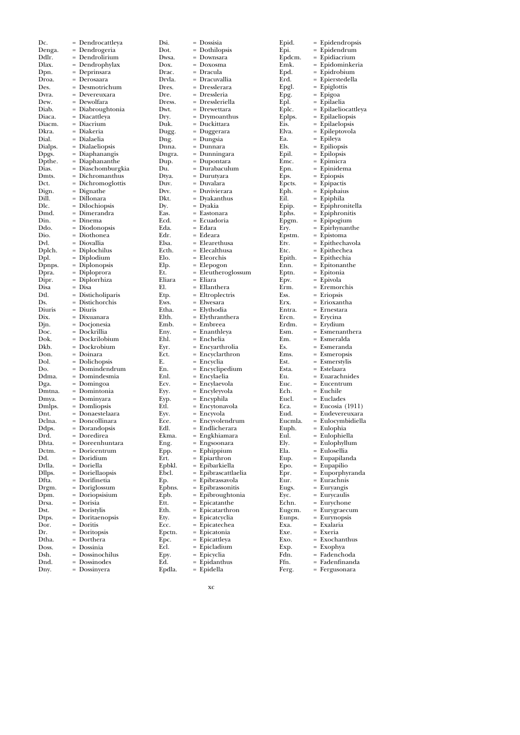| Dc.     | = Dendrocattleya             | Dsi.   | = Dossisia                 |
|---------|------------------------------|--------|----------------------------|
| Denga.  | = Dendrogeria                | Dot.   | = Dothilopsis              |
| Ddlr.   | = Dendrolirium               | Dwsa.  | = Downsara                 |
| Dlax.   | $=$ Dendrophylax             | Dox.   | $=$ Doxosma                |
| Dpn.    | = Deprinsara                 | Drac.  | = Dracula                  |
| Droa.   | = Derosaara                  | Drvla. | = Dracuvallia              |
| Des.    | = Desmotrichum               | Dres.  | = Dresslerara              |
| Dvra.   | = Devereuxara                | Dre.   | = Dressleria               |
| Dew.    | = Dewolfara                  | Dress. | = Dressleriell             |
| Diab.   | = Diabroughtonia             | Dwt.   | = Drewettara               |
| Diaca.  | = Diacattleya                | Dry.   | $=$ Drymoanth              |
| Diacm.  | = Diacrium                   | Duk.   | = Duckittara               |
| Dkra.   | = Diakeria                   | Dugg.  | = Duggerara                |
| Dial.   | = Dialaelia                  | Dng.   | = Dungsia                  |
| Dialps. | = Dialaeliopsis              | Dnna.  | = Dunnara                  |
| Dpgs.   | = Diaphanangis               | Dngra. | = Dunningara               |
| Dpthe.  | = Diaphananthe               | Dup.   | = Dupontara                |
| Dias.   | = Diaschomburgkia            | Du.    | = Durabaculu               |
| Dmts.   | = Dichromanthus              | Dtya.  | = Durutyara                |
| Dct.    | = Dichromoglottis            | Duv.   | = Duvalara                 |
| Dign.   | $=$ Dignathe                 | Dvv.   | = Duvivierara              |
| Dill.   | = Dillonara                  | Dkt.   | = Dyakanthus               |
| Dlc.    | = Dilochiopsis               | Dy.    | = Dyakia                   |
| Dmd.    | = Dimerandra                 | Eas.   | = Eastonara                |
| Din.    | = Dinema                     | Ecd.   | = Ecuadoria                |
| Ddo.    | = Diodonopsis                | Eda.   | = Edara                    |
| Dio.    | = Diothonea                  | Edr.   | = Edeara                   |
| Dvl.    | = Diovallia                  | Elsa.  | = Elearethusa              |
| Dplch.  | = Diplochilus                | Ecth.  | = Elecalthusa              |
| Dpl.    | $=$ Diplodium                | Elo.   | = Eleorchis                |
| Dpnps.  | = Diplonopsis                | Elp.   | = Elepogon                 |
| Dpra.   | = Diploprora                 | Et.    | = Eleutherog               |
| Dipr.   | = Diplorrhiza                | Eliara | = Eliara                   |
| Disa    | = Disa                       | El.    | = Ellanthera               |
| Dtl.    | = Disticholiparis            | Etp.   | = Eltroplectri             |
| Ds.     | = Distichorchis              | Ews.   | = Elwesara                 |
| Diuris  | = Diuris                     | Etha.  | = Elythodia                |
| Dix.    | = Dixuanara                  | Elth.  | = Elythranthe              |
| Djn.    | = Docjonesia                 | Emb.   | = Embreea                  |
| Doc.    | = Dockrillia                 | Eny.   | = Enanthleya               |
| Dok.    | = Dockrilobium               | Ehl.   | = Enchelia                 |
| Dkb.    | = Dockrobium                 | Eyr.   | $=$ Encyarthro             |
| Don.    | = Doinara                    | Ect.   | = Encyclarthr              |
| Dol.    | = Dolichopsis                | Е.     | = Encyclia                 |
| Do.     | = Domindendrum               | En.    | = Encyclipedi              |
| Ddma.   | = Domindesmia                | Enl.   | = Encylaelia               |
| Dga.    | $=$ Domingoa                 | Ecv.   | = Encylaevola              |
| Dmtna.  | = Domintonia                 | Eyy.   | = Encyleyvola              |
| Dmya.   | = Dominyara                  | Eyp.   | = Encyphila                |
| Dmlps.  | = Domliopsis                 | Etl.   | = Encytonavo               |
| Dnt.    | = Donaestelaara              | Eyv.   | = Encyvola                 |
| Dclna.  | = Doncollinara               | Ece.   | = Encyvolend               |
| Ddps.   | = Dorandopsis                | Edl.   | = Endlichera               |
| Drd.    | = Doredirea                  | Ekma.  | = Engkhiama                |
| Dhta.   | = Doreenhuntara              | Eng.   | = Engsoonara               |
| Dctm.   | = Doricentrum                | Epp.   | = Ephippium                |
| Dd.     | = Doridium                   | Ert.   | = Epiarthron               |
| Drlla.  | = Doriella                   | Epbkl. | = Epibarkiell;             |
| Dllps.  | = Doriellaopsis              | Ebcl.  | = Epibrascatt              |
| Dfta.   | = Dorifinetia                | Еp.    | = Epibrassavc              |
| Drgm.   | = Doriglossum                | Epbns. | = Epibrassoni              |
| Dpm.    | = Doriopsisium               | Epb.   | = Epibrought               |
| Drsa.   | = Dorisia                    | Ett.   | = Epicatanth               |
| Dst.    | = Doristylis                 | Eth.   | = Epicatarthr              |
| Dtps.   | = Doritaenopsis              | Ety.   | = Epicatcyclia             |
| Dor.    | = Doritis                    | Ecc.   | = Epicateche:              |
| Dr.     | = Doritopsis                 | Epctn. | = Epicatonia               |
| Dtha.   | = Dorthera                   | Epc.   | = Epicattleya              |
| Doss.   | = Dossinia                   | Ecl.   | = Epicladium               |
| Dsh.    | = Dossinochilus              | Epy.   | = Epicyclia                |
| Dnd.    |                              | Ed.    |                            |
|         | = Dossinodes<br>= Dossinyera | Epdla. | = Epidanthus<br>= Epidella |

| Dsi.          | $=$        | Dossisia                      |
|---------------|------------|-------------------------------|
| Dot.          | $=$        | Dothilopsis                   |
| Dwsa.         |            | Downsara                      |
| Dox.          | $=$        | Doxosma                       |
| Drac.         | $=$        | Dracula                       |
| Drvla.        |            | Dracuvallia                   |
| Dres.         | $=$        | Dresslerara                   |
| Dre.          | $=$        | Dressleria                    |
| Dress.        |            | Dressleriella                 |
| Dwt.          | $=$<br>$=$ | Drewettara                    |
| Dry.<br>Duk.  |            | Drymoanthus<br>Duckittara     |
| Dugg.         | $=$        | Duggerara                     |
| Dng.          | $=$        | Dungsia                       |
| Dnna.         |            | Dunnara                       |
| Dngra.        | $=$        | Dunningara                    |
| Dup.          | $=$        | Dupontara                     |
| Du.           |            | Durabaculum                   |
| Dtya.         | $=$        | Durutyara                     |
| Duv.          | $=$        | Duvalara                      |
| Dvv.          |            | Duvivierara                   |
| Dkt.          | $=$        | Dyakanthus                    |
| Dy.           | $=$        | Dyakia                        |
| Eas.          |            | Eastonara                     |
| Ecd.          | $=$        | Ecuadoria                     |
| Eda.          | $=$        | Edara                         |
| Edr.<br>Elsa. | $=$        | = Edeara                      |
| Ecth.         | $=$        | Elearethusa<br>Elecalthusa    |
| Elo.          |            | Eleorchis                     |
| Elp.          | $=$        | Elepogon                      |
| Et.           | $=$        | Eleutheroglossum              |
| Eliara        |            | Eliara                        |
| El.           | $=$        | Ellanthera                    |
| Etp.          | $=$        | Eltroplectris                 |
| Ews.          |            | Elwesara                      |
| Etha.         | $=$        | Elythodia                     |
| Elth.         |            | Elythranthera                 |
| Emb.          |            | Embreea                       |
| Eny.          | $=$        | Enanthleya                    |
| Ehl.          | $=$        | Enchelia                      |
| Eyr.          |            | Encyarthrolia                 |
| Ect.          | $=$        | Encyclarthron                 |
| E.            |            | Encyclia                      |
| En.           |            | Encyclipedium                 |
| Enl.<br>Ecv.  | $=$<br>$=$ | Encylaelia                    |
| Eyy.          |            | Encylaevola<br>Encyleyvola    |
| Eyp.          | $=$        | Encyphila                     |
| Etl.          |            | Encytonavola                  |
| Eyv.          |            | Encyvola                      |
| Ece.          | $=$        | Encyvolendrum                 |
| Edl.          |            | Endlicherara                  |
| Ekma.         |            | Engkhiamara                   |
| Eng.          | $=$        | Engsoonara                    |
| Epp.          | $=$        | Ephippium                     |
| Ert.          |            | Epiarthron                    |
| Epbkl.        | $=$        | Epibarkiella                  |
| Ebcl.         | $=$        | Epibrascattlaelia             |
| Ep.           | $=$        | Epibrassavola                 |
| Epbns.        | $=$        | Epibrassonitis                |
| Epb.          |            | Epibroughtonia                |
| Ett.<br>Eth.  |            | Epicatanthe                   |
| Ety.          | $=$<br>$=$ | Epicatarthron<br>Epicatcyclia |
| Ecc.          |            | Epicatechea                   |
| Epctn.        | $=$        | Epicatonia                    |
| Epc.          | $=$        | Epicattleya                   |
| Ecl.          |            | Epicladium                    |
| Epy.          | $=$        | Epicyclia                     |
|               |            |                               |

| Epid.          | Epidendropsis<br>$=$                |
|----------------|-------------------------------------|
| Epi.           | $=$<br>Epidendrum                   |
|                | $=$                                 |
| Epdcm.<br>Emk. | Epidiacrium<br>Epidominkeria<br>$=$ |
|                | Epidrobium                          |
| Epd.           | $=$                                 |
| Erd.           | Epierstedella                       |
| Epgl.          | Epiglottis<br>=                     |
| Epg.           | Epigoa                              |
| Epl.           | $=$<br>Epilaelia                    |
| Eplc.          | Epilaeliocattleya<br>$=$            |
| Eplps.         | Epilaeliopsis<br>$=$                |
| Eis.           | Epilaelopsis<br>$=$                 |
| Elva.          | Epileptovola<br>=                   |
| Ea.            | Epileya                             |
| Els.           | Epiliopsis<br>$=$                   |
| Epil.          | Epilopsis                           |
| Emc.           | $=$<br>Epimicra                     |
| Epn.           | $=$<br>Epinidema                    |
| Eps.           | Epiopsis                            |
| Epcts.         | $=$<br>Epipactis                    |
| Eph.           | $=$<br>Epiphaius                    |
| Eil.           | Epiphila                            |
| Epip.          | =<br>Epiphronitella                 |
| Ephs.          | Epiphronitis<br>$=$                 |
| Epgm.          | Epipogium                           |
| Ery.           | =<br>Epirhynanthe                   |
| Epstm.         | Epistoma<br>$=$                     |
| Etv.           | Epithechavola                       |
| Etc.           | $=$<br>Epithechea                   |
| Epith.         | Epithechia<br>$=$                   |
| Enn.           | Epitonanthe                         |
| Eptn.          | =<br>Epitonia                       |
| Epv.           | $=$<br>Epivola                      |
| Erm.           | Eremorchis                          |
| Ess.           | $=$<br>Eriopsis                     |
| Erx.           | Erioxantha<br>$=$                   |
| Entra.         | Ernestara                           |
| Ercn.          | =<br>Erycina                        |
| Erdm.          | Erydium<br>$=$                      |
| Esm.           | Esmenanthera                        |
| Em.            | Esmeralda                           |
| Es.            | Esmeranda<br>$=$                    |
| Ems.           | Esmeropsis                          |
| Est.           | Esmerstylis<br>$=$                  |
| Esta.          | Estelaara<br>$=$                    |
| Eu.            | Euarachnides                        |
| Euc.           | $=$<br>Eucentrum                    |
| Ech.           | Euchile<br>$=$                      |
| Eucl.          | $=$<br>Euclades                     |
| Eca.           | Eucosia (1911)<br>$=$               |
| Eud.           | $=$<br>Eudevereuxara                |
| Eucmla.        | $=$<br>Eulocymbidiella              |
| Euph.          | = Eulophia                          |
| Eul.           | Eulophiella<br>$=$                  |
| Ely.           | $=$<br>Eulophyllum                  |
| Ela.           | Eulosellia<br>$=$                   |
| Eup.           | $=$<br>Eupapilanda                  |
| Epo.           | Eupapilio                           |
| Epr.           | Euporphyranda<br>$=$                |
| Eur.           | Eurachnis<br>$=$                    |
|                |                                     |
| Eugs.          | Euryangis                           |
| Eyc.           | Eurycaulis<br>$=$<br>$=$            |
| Echn.          | Eurychone                           |
| Eugcm.         | Eurygraecum                         |
| Eunps.         | Eurynopsis<br>$=$                   |
| Exa.           | Exalaria<br>$=$                     |
|                |                                     |
| Exe.           | Exeria<br>$=$                       |
| Exo.           | Exochanthus<br>$=$                  |
| Exp.           | Exophya<br>$=$                      |
| Fdn.<br>Ffn.   | Fadenchoda<br>Fadenfinanda<br>$=$   |

Ferg. = Fergusonara

xc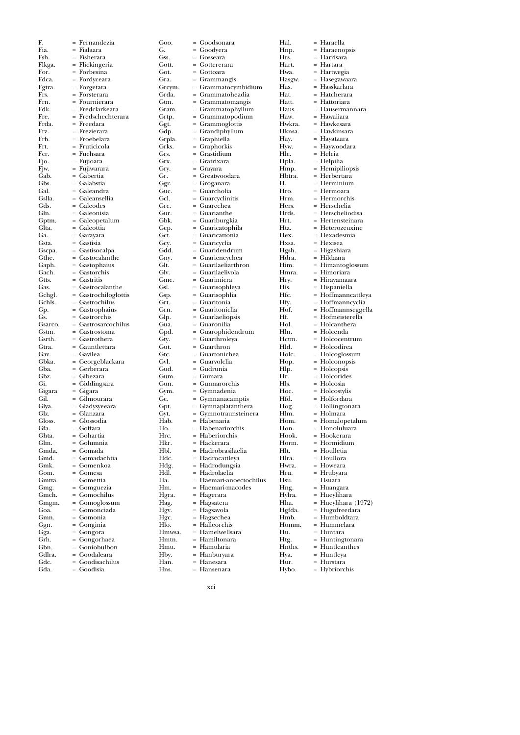| F.              | = Fernandezia                         | Goo.           | = Goodsonara                          |
|-----------------|---------------------------------------|----------------|---------------------------------------|
| Fia.            | = Fialaara                            | G.             | = Goodyera                            |
| Fsh.            | = Fisherara                           | Gss.           | = Gosseara                            |
| Flkga.          | = Flickingeria                        | Gott.          | = Gottererara                         |
| For.            | = Forbesina                           | Got.           | = Gottoara                            |
| Fdca.           | = Fordyceara                          | Gra.           | $=$ Grammangis                        |
| Fgtra.          | $=$ Forgetara                         | Grcym.         | $=$ Grammatocymbidi                   |
| Frs.            | = Forsterara                          | Grda.          | = Grammatoheadia                      |
| Frn.<br>Fdk.    | = Fournierara                         | Gtm.           | $=$ Grammatomangis                    |
| Fre.            | = Fredclarkeara<br>= Fredschechterara | Gram.<br>Grtp. | = Grammatophyllum                     |
| Frda.           | = Freedara                            | Ggt.           | = Grammatopodium<br>$=$ Grammoglottis |
| Frz.            | = Frezierara                          | Gdp.           | = Grandiphyllum                       |
| Frb.            | = Froebelara                          | Grpla.         | = Graphiella                          |
| Frt.            | = Fruticicola                         | Grks.          | = Graphorkis                          |
| Fcr.            | = Fuchsara                            | Grs.           | = Grastidium                          |
| Fjo.            | = Fujioara                            | Grx.           | = Gratrixara                          |
| Fjw.            | = Fujiwarara                          | Gry.           | $=$ Grayara                           |
| Gab.            | = Gabertia                            | Gr.            | = Greatwoodara                        |
| Gbs.            | = Galabstia                           | Ggr.           | = Groganara                           |
| Gal.            | = Galeandra                           | Guc.           | = Guarcholia                          |
| Gslla.          | = Galeansellia                        | Gcl.           | = Guarcyclinitis                      |
| Gds.            | = Galeodes                            | Grc.           | = Guarechea                           |
| Gln.            | = Galeonisia                          | Gur.           | = Guarianthe                          |
| Gptm.           | = Galeopetalum                        | Gbk.           | = Guariburgkia                        |
| Glta.           | = Galeottia                           | Gcp.           | = Guaricatophila                      |
| Ga.             | = Garayara                            | Gct.           | = Guaricattonia                       |
| Gsta.           | = Gastisia                            | Gcy.           | = Guaricyclia                         |
| Gscpa.          | = Gastisocalpa                        | Gdd.           | = Guaridendrum                        |
| Gthe.           | = Gastocalanthe                       | Gny.           | $=$ Guariencychea                     |
| Gaph.           | $=$ Gastophaius                       | Glt.           | = Guarilaeliarthron                   |
| Gach.           | = Gastorchis                          | Glv.           | = Guarilaelivola                      |
| Gtts.           | = Gastritis                           | Gmc.           | = Guarimicra                          |
| Gas.            | = Gastrocalanthe                      | Gsl.           | = Guarisophleya                       |
| Gchgl.          | $=$ Gastrochiloglottis                | Gsp.           | = Guarisophlia                        |
| Gchls.          | = Gastrochilus                        | Grt.           | = Guaritonia                          |
| Gp.             | = Gastrophaius                        | Grn.           | = Guaritoniclia                       |
| Gs.             | = Gastrorchis                         | Glp.           | $=$ Guarlaeliopsis                    |
| Gsarco.         | = Gastrosarcochilus                   | Gua.           | = Guaronilia                          |
| Gstm.           | = Gastrostoma                         | Gpd.           | = Guarophidendrum                     |
| Gsrth.<br>Gtra. | = Gastrothera                         | Gty.<br>Gut.   | = Guarthroleya                        |
| Gav.            | = Gauntlettara                        | Gtc.           | = Guarthron                           |
| Gbka.           | = Gavilea                             | Gvl.           | = Guartonichea<br>= Guarvolclia       |
| Gba.            | = Georgeblackara<br>= Gerberara       | Gud.           | = Gudrunia                            |
| Gbz.            | = Gibezara                            | Gum.           | = Gumara                              |
| Gi.             | = Giddingsara                         | Gun.           | = Gunnarorchis                        |
| Gigara          | = Gigara                              | Gym.           | = Gymnadenia                          |
| Gil.            | = Gilmourara                          | Gc.            | = Gymnanacamptis                      |
| Glya.           | = Gladysyeeara                        | Gpt.           | $=$ Gymnaplatanthera                  |
| Glz.            | = Glanzara                            | Gyt.           | = Gymnotraunsteine                    |
| Gloss.          | = Glossodia                           | Hab.           | = Habenaria                           |
| Gfa.            | = Goffara                             | Ho.            | = Habenariorchis                      |
| Ghta.           | = Gohartia                            | Hrc.           | = Haberiorchis                        |
| Glm.            | = Golumnia                            | Hkr.           | = Hackerara                           |
| Gmda.           | = Gomada                              | Hbl.           | = Hadrobrasilaelia                    |
| Gmd.            | = Gomadachtia                         | Hdc.           | = Hadrocattleya                       |
| Gmk.            | = Gomenkoa                            | Hdg.           | = Hadrodungsia                        |
| Gom.            | = Gomesa                              | Hdl.           | = Hadrolaelia                         |
| Gmtta.          | = Gomettia                            | Ha.            | = Haemari-anoectocl                   |
| Gmg.            | = Gomguezia                           | Hm.            | = Haemari-macodes                     |
| Gmch.           | = Gomochilus                          | Hgra.          | = Hagerara                            |
| Gmgm.           | = Gomoglossum                         | Hag.           | = Hagsatera                           |
| Goa.            | = Gomonciada                          | Hgv.           | = Hagsavola                           |
| Gmn.            | = Gomonia                             | Hgc.           | = Hagsechea                           |
| Ggn.            | = Gonginia                            | Hlo.           | = Halleorchis                         |
| Gga.            | = Gongora                             | Hmwsa.         | = Hamelwellsara                       |
| Grh.            |                                       |                |                                       |
| Gbn.            | = Gongorhaea                          | Hmtn.          | = Hamiltonara                         |
|                 | = Goniobulbon                         | Hmu.           | = Hamularia                           |
| Gdlra.          | = Goodaleara                          | Hby.           | = Hanburyara                          |
| Gdc.            | = Goodisachilus                       | Han.           | = Hanesara<br>= Hansenara             |

| Goo.          | = Goodsonara                         | Hal.             | = Haraella                           |
|---------------|--------------------------------------|------------------|--------------------------------------|
| G.            | = Goodyera                           | Hnp.             | = Haraenopsis                        |
| Gss.          | = Gosseara                           | Hrs.             | = Harrisara                          |
| Gott.<br>Got. | = Gottererara<br>= Gottoara          | Hart.<br>Hwa.    | = Hartara<br>= Hartwegia             |
| Gra.          | = Grammangis                         | Hasgw.           | = Hasegawaara                        |
| Grcym.        | = Grammatocymbidium                  | Has.             | = Hasskarlara                        |
| Grda.         | = Grammatoheadia                     | Hat.             | = Hatcherara                         |
| Gtm.          | = Grammatomangis                     | Hatt.            | = Hattoriara                         |
| Gram.         | = Grammatophyllum                    | Haus.            | = Hausermannara                      |
| Grtp.         | = Grammatopodium                     | Haw.             | = Hawaiiara                          |
| Ggt.<br>Gdp.  | $=$ Grammoglottis<br>= Grandiphyllum | Hwkra.<br>Hknsa. | = Hawkesara<br>= Hawkinsara          |
| Grpla.        | = Graphiella                         | Hay.             | = Hayataara                          |
| Grks.         | = Graphorkis                         | Hyw.             | = Haywoodara                         |
| Grs.          | = Grastidium                         | Hlc.             | = Helcia                             |
| Grx.          | = Gratrixara                         | Hpla.            | = Helpilia                           |
| Gry.          | = Grayara                            | Hmp.             | = Hemipiliopsis                      |
| Gr.           | = Greatwoodara                       | Hbtra.<br>Н.     | = Herbertara                         |
| Ggr.<br>Guc.  | = Groganara<br>= Guarcholia          | Hro.             | = Herminium<br>= Hermoara            |
| Gcl.          | = Guarcyclinitis                     | Hrm.             | = Hermorchis                         |
| Grc.          | = Guarechea                          | Hers.            | = Herschelia                         |
| Gur.          | = Guarianthe                         | Hrds.            | = Herscheliodisa                     |
| Gbk.          | = Guariburgkia                       | Hrt.             | = Hertensteinara                     |
| Gcp.          | = Guaricatophila                     | Htz.             | = Heterozeuxine                      |
| Gct.          | = Guaricattonia                      | Hex.             | = Hexadesmia                         |
| Gcy.<br>Gdd.  | = Guaricyclia                        | Hxsa.            | = Hexisea<br>= Higashiara            |
| Gny.          | = Guaridendrum<br>= Guariencychea    | Hgsh.<br>Hdra.   | = Hildaara                           |
| Glt.          | = Guarilaeliarthron                  | Him.             | = Himantoglossun                     |
| Glv.          | = Guarilaelivola                     | Hmra.            | = Himoriara                          |
| Gmc.          | = Guarimicra                         | Hry.             | = Hirayamaara                        |
| Gsl.          | = Guarisophleya                      | His.             | = Hispaniella                        |
| Gsp.          | = Guarisophlia                       | Hfc.             | = Hoffmanncattley                    |
| Grt.          | = Guaritonia                         | Hfy.             | = Hoffmanncyclia                     |
| Grn.<br>Glp.  | = Guaritoniclia<br>= Guarlaeliopsis  | Hof.<br>Hf.      | = Hoffmannseggel<br>= Hofmeisterella |
| Gua.          | = Guaronilia                         | Hol.             | = Holcanthera                        |
| Gpd.          | = Guarophidendrum                    | Hln.             | = Holcenda                           |
| Gty.          | = Guarthroleya                       | Hctm.            | = Holcocentrum                       |
| Gut.          | = Guarthron                          | Hld.             | = Holcodirea                         |
| Gtc.          | = Guartonichea                       | Holc.            | = Holcoglossum                       |
| Gvl.          | = Guarvolclia                        | Hop.             | = Holconopsis                        |
| Gud.<br>Gum.  | = Gudrunia<br>= Gumara               | Hlp.<br>Hr.      | = Holcopsis<br>= Holcorides          |
| Gun.          | = Gunnarorchis                       | Hls.             | = Holcosia                           |
| Gym.          | = Gymnadenia                         | Hoc.             | = Holcostylis                        |
| Gc.           | = Gymnanacamptis                     | Hfd.             | = Holfordara                         |
| Gpt.          | $=$ Gymnaplatanthera                 | Hog.             | = Hollingtonara                      |
| Gyt.          | = Gymnotraunsteinera                 | Hlm.             | = Holmara                            |
| Hab.          | = Habenaria                          | Hom.             | = Homalopetalum                      |
| Ho.           | = Habenariorchis                     | Hon.             | = Honoluluara<br>= Hookerara         |
| Hrc.<br>Hkr.  | = Haberiorchis<br>= Hackerara        | Hook.<br>Horm.   | = Hormidium                          |
| Hbl.          | = Hadrobrasilaelia                   | Hlt.             | = Houlletia                          |
| Hdc.          | = Hadrocattleya                      | Hlra.            | = Houllora                           |
| Hdg.          | = Hadrodungsia                       | Hwra.            | = Howeara                            |
| Hdl.          | = Hadrolaelia                        | Hru.             | $=$ Hrubyara                         |
| Ha.           | = Haemari-anoectochilus              | Hsu.             | = Hsuara                             |
| Hm.           | = Haemari-macodes                    | Hng.             | = Huangara                           |
| Hgra.         | = Hagerara                           | Hylra.<br>Hha.   | = Hueylihara                         |
| Hag.<br>Hgv.  | = Hagsatera<br>= Hagsavola           | Hgfda.           | = Hueylihara (197<br>= Hugofreedara  |
| Hgc.          | = Hagsechea                          | Hmb.             | = Humboldtara                        |
| Hlo.          | = Halleorchis                        | Humm.            | = Hummelara                          |
| Hmwsa.        | = Hamelwellsara                      | Hu.              | = Huntara                            |
| Hmtn.         | = Hamiltonara                        | Htg.             | = Huntingtonara                      |
| Hmu.          | = Hamularia                          | Hnths.           | = Huntleanthes                       |
| Hby.          | = Hanburyara                         | Hya.             | = Huntleya                           |
| Han.<br>Hns.  | = Hanesara<br>= Hansenara            | Hur.<br>Hybo.    | = Hurstara<br>= Hybriorchis          |
|               |                                      |                  |                                      |

lawaiiara lawkesara lawkinsara layataara laywoodara lelcia lelpilia Iemipiliopsis lerbertara<sup>1</sup> lerminium lermoara lermorchis lerschelia lerscheliodisa lertensteinara leterozeuxine lexadesmia lexisea Hgsh. = Higashiara Hdra. = Hildaara ............<br>|imantoglossum limoriara<sup>o</sup> lirayamaara ispaniella Hfc. = Hoffmanncattleya Hfy. = Hoffmanncyclia Hof. = Hoffmannseggella lofmeisterella lolcanthera . . . . . . . . . . . .<br>lolcenda lolcocentrum lolcodirea lolcoglossum Iolconopsis olcopsis lolcorides lolcosia lolcostylis lolfordara **Iollingtonara** lolmara lomalopetalum Ionoluluara lookerara lormidium Ioulletia loullora oweara lrubyara lsuara luangara luevlihara Hha. = Hueylihara (1972) lugofreedara lumboldtara -------------<br>Iummelara luntara Htg. = Huntingtonara Hnths. = Huntleanthes luntleya<br>Iurstara

Hybo. = Hybriorchis

xci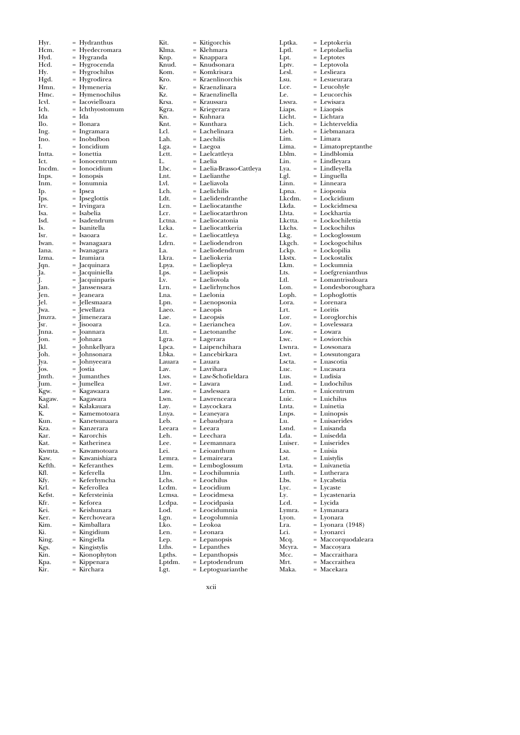| Hyr.         | Hydranthus                          |
|--------------|-------------------------------------|
| Hcm.         | Hyedecromara                        |
| Hyd.         | $=$                                 |
|              | Hygranda                            |
| Hcd.         | Hygrocenda<br>$=$                   |
| Hy.          | Hygrochilus                         |
| Hgd.         | Hygrodirea<br>=                     |
|              |                                     |
| Hmn.         | Hymeneria<br>$=$                    |
| Hmc.         | Hymenochilus                        |
| Icvl.        | Iacovielloara<br>$=$                |
| Ich.         | $=$                                 |
|              | Ichthyostomum                       |
| Ida          | Ida                                 |
| Ilo.         | Ilonara<br>$=$                      |
| Ing.         | Ingramara                           |
|              |                                     |
| Ino.         | Inobulbon                           |
| I.           | Ioncidium<br>$=$                    |
| Intta.       | $=$<br>Ionettia                     |
| Ict.         | Ionocentrum                         |
|              |                                     |
| Incdm.       | Ionocidium<br>$=$                   |
| Inps.        | Ionopsis<br>=                       |
| Inm.         | Ionumnia                            |
|              |                                     |
| Ip.          | Ipsea<br>$=$                        |
| Ips.         | Ipseglottis                         |
| Irv.         | $=$<br>Irvingara                    |
|              | Isabelia<br>$=$                     |
| Isa.         |                                     |
| Isd.         | : Isadendrum                        |
| Is.          | Isanitella                          |
| Isr.         | = Isaoara                           |
| Iwan.        | $=$                                 |
|              | Iwanagaara                          |
| Iana.        | Iwanagara                           |
| Izma.        | Izumiara<br>$=$                     |
| Jqn.         | = Jacquinara                        |
| Ja.          | = Jacquiniella                      |
|              |                                     |
| J.           | = Jacquinparis                      |
| Jan.         | = Janssensara                       |
| Jen.         | = Jeaneara                          |
| Jel.         |                                     |
| Jwa.         | = Jellesmaara<br>= Jewellara        |
|              |                                     |
| Jmzra.       | $=$ Jimenezara                      |
| Jsr.         | = Jisooara                          |
| Jnna.        | = Joannara                          |
| Jon.         | = Johnara<br>= Johnkellyara         |
| Jkl.         |                                     |
|              |                                     |
| Joh.         | = Johnsonara                        |
| Jya.         | = Johnyeeara                        |
| Jos.         | = Jostia                            |
| Jmth.        | = Jumanthes                         |
| Jum.         | = Jumellea                          |
|              |                                     |
| Kgw.         | = Kagawaara                         |
| Kagaw.       | = Kagawara                          |
| Kal.         | Kalakauara<br>$=$                   |
| Κ.           | = Kamemotoara                       |
| Kun.         | = Kanetsunaara                      |
|              | = Kanzerara                         |
| Kza          |                                     |
| Kar.         | Karorchis<br>$=$                    |
| Kat.         | Katherinea                          |
| Kwmta.       | Kawamotoara<br>$=$                  |
| Kaw.         | Kawanishiara<br>$=$                 |
|              |                                     |
| Kefth.       | = Keferanthes                       |
| Kfl.         | = Keferella                         |
| Kfy.         | Keferhyncha<br>$=$                  |
| Krl.         |                                     |
|              |                                     |
|              | Keferollea                          |
| Kefst.       | Kefersteinia<br>$=$                 |
| Kfr.         | = Keforea                           |
| Kei.         | = Keishunara                        |
| Ker.         |                                     |
|              | = Kerchoveara                       |
| Kim.         | = Kimballara                        |
| Ki.          | Kingidium<br>$=$                    |
| King.        | Kingiella<br>$=$                    |
| Kgs.         | Kingistylis                         |
|              |                                     |
| Kin.         | Kionophyton                         |
| Kpa.<br>Kir. | Kippenara<br>$=$<br>Kirchara<br>$=$ |

Kit. = Kitigorchis Klma. = Klehmara Knp. = Knappara Knud. = Knudsonara Kom. = Komkrisara<br>Kro. = Kraenlinorc Kro. = Kraenlinorchis<br>Kr. = Kraenzlinara Kr. = Kraenzlinara Kz. = Kraenzlinella<br>Krsa. = Kraussara Krsa. = Kraussara<br>Kgra. = Kriegerara Kgra. = Kriegerara<br>Kn. = Kuhnara Kn. = Kuhnara<br>Knt. = Kunthara Knt. = Kunthara<br>Lcl. = Lachelina Lcl. = Lachelinara<br>Lah. = Laechilis Lah. = Laechilis<br>Lga. = Laegoa Lga. = Laegoa<br>Lctt. = Laelcatt Lctt.  $=$  Laelcattleya<br>  $L.$   $=$  Laelia L. = Laelia<br>Lbc. = Laelia-Lbc. = Laelia-Brasso-Cattleya Lnt. = Laelianthe<br>Lvl. = Laeliavola Lvl. = Laeliavola<br>Lch. = Laelichilis Lch. = Laelichilis<br>Ldt. = Laelidend Ldt. = Laelidendranthe<br>Lcn. = Laeliocatanthe Lcn. = Laeliocatanthe<br>Lcr. = Laeliocatarthro Lcr. = Laeliocatarthron<br>Lctna. = Laeliocatonia Lctna. = Laeliocatonia<br>Lcka. = Laeliocattkeri Lcka. = Laeliocattkeria<br>Lc. = Laeliocattleva Lc. = Laeliocattleya<br>Ldrn. = Laeliodendror Ldrn.  $=$  Laeliodendron<br>La.  $=$  Laeliodendrum La. = Laeliodendrum<br>Lkra. = Laeliokeria Lkra. = Laeliokeria<br>Lpya. = Laeliopleya Lpya. = Laeliopleya<br>Lps. = Laeliopsis Lps.  $=$  Laeliopsis<br>  $I_x =$  Laeliovola Lv.  $=$  Laeliovola<br>
Lrn.  $=$  Laelirhync Lrn. = Laelirhynchos<br>Lna. = Laelonia Lna. = Laelonia<br>Lpn. = Laenopso Lua.<br>Lpn. = Laenopsonia<br>Laeo. = Laeopis  $\begin{array}{rcl}\n\text{Laeo.} & = \text{Laeopis} \\
\text{Lae.} & = \text{Laeopsis}\n\end{array}$  $=$  Laeopsis Lca. = Laerianchea Ltt. = Laetonanthe Lgra. = Lagerara<br>Lpca. = Laipench Lpca. = Laipenchihara Lbka. = Lancebirkara Lauara = Lauara<br>Lav. = Lavriha Lav. = Lavrihara<br>Lws. = Law-Scho Lws. = Law-Schofieldara<br>Lwr. = Lawara Lwr. = Lawara<br>Law. = Lawless Law. = Lawlessara<br>Lwn. = Lawrencea Lwn. = Lawrenceara<br>Lay. = Laycockara Lay. = Laycockara<br>Lnya. = Leaneyara Lnya. = Leaneyara Leb. = Lebaudyara<br>Leeara = Leeara Leeara = Leeara<br>Leh. = Leecha Leh. = Leechara<br>Lee. = Leemann Lee. = Leemannara<br>Lei. = Leioanthum Lei. = Leioanthum<br>Lemra. = Lemaireara Lemra. = Lemaireara<br>Lem. = Lembogloss Lem. = Lemboglossum<br>Llm. = Leochilumnia Llm. = Leochilumnia Lchs. = Leochilus<br>Lcdm. = Leocidium Lcdm. = Leocidium<br>Lcmsa. = Leocidmesa Lcmsa. = Leocidmesa<br>Lcdpa. = Leocidpasia Lcdpa. = Leocidpasia<br>Lod. = Leocidumni Lod. = Leocidumnia<br>
Lgn. = Leogolumnia<br>
Lko. = Leokoa = Leogolumnia  $Lko.$  = Leokoa<br>Len. = Leonara Len. = Leonara<br>Lep. = Lepanop<br>Lths. = Lepanth Lep. = Lepanopsis Lths. = Lepanthes Lpths. = Lepanthopsis Lptdm. = Leptodendrum

| Lptka.       |            | Leptokeria                  |
|--------------|------------|-----------------------------|
| Lptl.        | $=$        | Leptolaelia                 |
| Lpt.         |            | Leptotes                    |
| Lptv.        |            | Leptovola                   |
| Lesl.        | $=$        | Leslieara                   |
|              |            |                             |
| Lsu.         |            | Lesueurara                  |
| Lce.         | $=$        | Leucohyle                   |
| Le.          | $=$        | Leucorchis                  |
| Lwsra.       |            | Lewisara                    |
| Liaps.       | $=$        | Liaopsis                    |
| Licht.       | $=$        | Lichtara                    |
| Lich.        |            | Lichterveldia               |
| Lieb.        | $=$        | Liebmanara                  |
| Lim.         | $=$        | Limara                      |
| Lima.        |            | Limatopreptanthe            |
| Lblm.        | $=$        | Lindblomia                  |
| Lin.         | $=$        | Lindleyara                  |
| Lya.         |            | Lindleyella                 |
| Lgl.         | $=$        | Linguella                   |
| Linn.        | $=$        | Linneara                    |
| Lpna.        |            | Lioponia                    |
| Lkcdm.       |            | Lockcidium                  |
|              | $=$<br>$=$ |                             |
| Lkda.        |            | Lockcidmesa                 |
| Lhta.        |            | Lockhartia                  |
| Lkctta.      | $=$        | Lockochilettia              |
| Lkchs.       | $=$        | Lockochilus                 |
| Lkg.         |            | Lockoglossum                |
| Lkgch.       | $=$        | Lockogochilus               |
| Lckp.        | $=$        | Lockopilia                  |
| Lkstx.       |            | Lockostalix                 |
| Lkm.         | $=$        | Lockumnia                   |
| Lts.         | $=$        | Loefgrenianthus             |
| Ltl.         |            | Lomantrisuloara             |
| Lon.         | $=$        | Londesboroughara            |
| Loph.        | $=$        | Lophoglottis                |
| Lora.        |            | Lorenara                    |
|              |            |                             |
|              |            |                             |
| Lrt.         | $=$        | Loritis                     |
| Lor.         | $=$        | Loroglorchis                |
| Lov.         |            | Lovelessara                 |
| Low.         | $=$        | Lowara                      |
| Lwc.         | $=$        | Lowiorchis                  |
| Lwnra.       |            | Lowsonara                   |
| Lwt.         | $=$        | Lowsutongara                |
| Lscta.       | $=$        | Luascotia                   |
| Luc.         |            | Lucasara                    |
| Lus.         | $=$        | Ludisia                     |
| Lud.         |            | Ludochilus                  |
| Lctm.        |            | Luicentrum                  |
| Luic.        | $=$        | Luichilus                   |
| Lnta.        | $=$        | Luinetia                    |
| Lnps.        |            |                             |
|              |            | Luinopsis                   |
| Lu.          | $=$        | Luisaerides                 |
| Lsnd.        | =          | Luisanda                    |
| Lda.         |            | Luisedda                    |
| Luiser.      | $=$        | Luiserides                  |
| Lsa.         |            | Luisia                      |
| Lst.         |            | Luistylis                   |
| Lvta.        | $=$        | Luivanetia                  |
| Luth.        |            | Lutherara                   |
| Lbs.         |            | Lycabstia                   |
| Lyc.         | $=$        | Lycaste                     |
| Ly.          | $=$        | Lycastenaria                |
| Lcd.         |            | Lycida                      |
| Lymra.       | $=$        | Lymanara                    |
| Lyon.        | $=$        | Lyonara                     |
| Lra.         |            | Lyonara (1948)              |
| Lci.         | $=$        | Lyonarci                    |
|              |            |                             |
| Mcq.         |            | Maccorquodaleara            |
| Mcyra.       | $=$        | Maccoyara                   |
| Mcc.<br>Mrt. |            | Maccraithara<br>Maccraithea |

xcii

Lgt. = Leptoguarianthe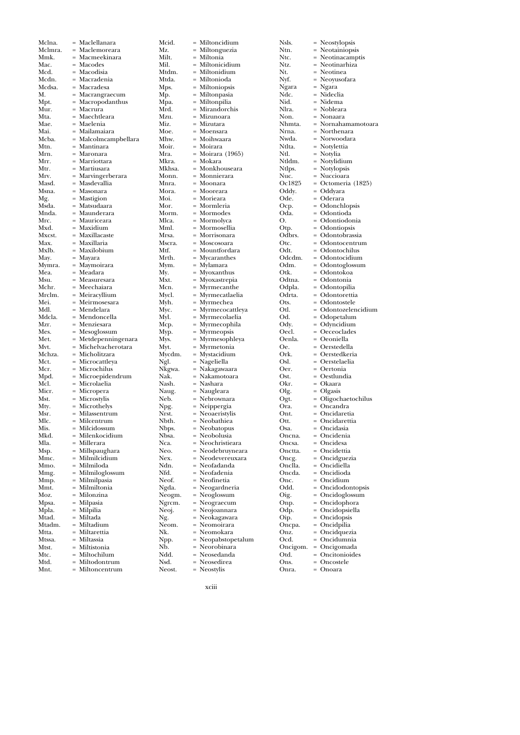| Mclna.               | = Maclellanara                                                                                                                                                                                                                                                                                                                                                                                                                                                                                                                                                                                                         | Mcid.                          | = Miltoncidiu                                                                                                                                                              |
|----------------------|------------------------------------------------------------------------------------------------------------------------------------------------------------------------------------------------------------------------------------------------------------------------------------------------------------------------------------------------------------------------------------------------------------------------------------------------------------------------------------------------------------------------------------------------------------------------------------------------------------------------|--------------------------------|----------------------------------------------------------------------------------------------------------------------------------------------------------------------------|
|                      | Mclmra. = Maclemoreara                                                                                                                                                                                                                                                                                                                                                                                                                                                                                                                                                                                                 | Mz.                            | = Miltonguez                                                                                                                                                               |
| Mmk.                 | = Macmeekinara                                                                                                                                                                                                                                                                                                                                                                                                                                                                                                                                                                                                         | Milt.                          | = Miltonia                                                                                                                                                                 |
| Mac.                 |                                                                                                                                                                                                                                                                                                                                                                                                                                                                                                                                                                                                                        |                                | = Miltonicidiı                                                                                                                                                             |
|                      | = Macodes<br>= Macodisia                                                                                                                                                                                                                                                                                                                                                                                                                                                                                                                                                                                               |                                |                                                                                                                                                                            |
| Mcd.                 |                                                                                                                                                                                                                                                                                                                                                                                                                                                                                                                                                                                                                        | Mil.<br>Mtdm.<br>Mtda.<br>Mps. | = Miltonidiur                                                                                                                                                              |
|                      | Mcdn. = Macradenia<br>Mcdsa. = Macradesa<br>M. = Macrangraecum                                                                                                                                                                                                                                                                                                                                                                                                                                                                                                                                                         |                                | = Miltonioda                                                                                                                                                               |
|                      |                                                                                                                                                                                                                                                                                                                                                                                                                                                                                                                                                                                                                        |                                | = Miltoniopsi                                                                                                                                                              |
|                      |                                                                                                                                                                                                                                                                                                                                                                                                                                                                                                                                                                                                                        | Mp.<br>Mpa.                    | = Miltonpasia                                                                                                                                                              |
|                      |                                                                                                                                                                                                                                                                                                                                                                                                                                                                                                                                                                                                                        |                                | = Miltonpilia                                                                                                                                                              |
|                      | Mpt. $= \text{Macropodanthus}$                                                                                                                                                                                                                                                                                                                                                                                                                                                                                                                                                                                         |                                |                                                                                                                                                                            |
| Mur.<br>Mta.<br>Mae. | $=$ Macrura                                                                                                                                                                                                                                                                                                                                                                                                                                                                                                                                                                                                            | Mrd.<br>Mzu.<br>Miz.           | = Mirandorch                                                                                                                                                               |
|                      | = Maechtleara<br>= Maelenia                                                                                                                                                                                                                                                                                                                                                                                                                                                                                                                                                                                            |                                | = Mizunoara                                                                                                                                                                |
|                      |                                                                                                                                                                                                                                                                                                                                                                                                                                                                                                                                                                                                                        |                                | = Mizutara                                                                                                                                                                 |
|                      | Mai. = Mailamaiara<br>Mcba. = Malcolmcampbellara<br>Mtn. = Mantinara                                                                                                                                                                                                                                                                                                                                                                                                                                                                                                                                                   | Moe.<br>Mhw.                   | = Moensara                                                                                                                                                                 |
|                      |                                                                                                                                                                                                                                                                                                                                                                                                                                                                                                                                                                                                                        |                                |                                                                                                                                                                            |
|                      |                                                                                                                                                                                                                                                                                                                                                                                                                                                                                                                                                                                                                        |                                | = Moihwaara                                                                                                                                                                |
| Mtn.                 |                                                                                                                                                                                                                                                                                                                                                                                                                                                                                                                                                                                                                        |                                |                                                                                                                                                                            |
|                      |                                                                                                                                                                                                                                                                                                                                                                                                                                                                                                                                                                                                                        |                                |                                                                                                                                                                            |
|                      |                                                                                                                                                                                                                                                                                                                                                                                                                                                                                                                                                                                                                        |                                | Moir. = Moirara<br>Mra. = Moirara (19<br>Mkra. = Mokara<br>- Monkhouse                                                                                                     |
|                      |                                                                                                                                                                                                                                                                                                                                                                                                                                                                                                                                                                                                                        |                                |                                                                                                                                                                            |
|                      |                                                                                                                                                                                                                                                                                                                                                                                                                                                                                                                                                                                                                        |                                | Mkhsa. = Monkhouse<br>Monn. = Monnierara                                                                                                                                   |
|                      |                                                                                                                                                                                                                                                                                                                                                                                                                                                                                                                                                                                                                        |                                |                                                                                                                                                                            |
|                      | Mun. – Mantonara<br>Mrn. – Maronara<br>Mrr. – Marriottara<br>Mrv. – Martiusara<br>Mrv. – Marvingerberara<br>Masd. – Masdevallia                                                                                                                                                                                                                                                                                                                                                                                                                                                                                        | Mnra.                          | = Moonara<br>Mora. = Mooreara<br>Moi. = Mooreara<br>Moi. = Morieara<br>Mor                                                                                                 |
|                      | Msn. = Masonara<br>Mg. = Mastigion<br>Msda. = Matsudaara<br>- Maunderara<br>- Maunderara<br>- Maunderara                                                                                                                                                                                                                                                                                                                                                                                                                                                                                                               |                                |                                                                                                                                                                            |
|                      |                                                                                                                                                                                                                                                                                                                                                                                                                                                                                                                                                                                                                        |                                |                                                                                                                                                                            |
|                      |                                                                                                                                                                                                                                                                                                                                                                                                                                                                                                                                                                                                                        |                                |                                                                                                                                                                            |
|                      |                                                                                                                                                                                                                                                                                                                                                                                                                                                                                                                                                                                                                        |                                |                                                                                                                                                                            |
|                      |                                                                                                                                                                                                                                                                                                                                                                                                                                                                                                                                                                                                                        |                                |                                                                                                                                                                            |
| Mrc.                 | = Mauriceara                                                                                                                                                                                                                                                                                                                                                                                                                                                                                                                                                                                                           |                                | Moi. = Morieara<br>Mor. = Mormleria<br>Morm. = Mormodes<br>Mica. = Mormoselli<br>Minl. = Mornselli<br>Minl. = Morrisonar                                                   |
| $Mxd.$ = Maxidium    |                                                                                                                                                                                                                                                                                                                                                                                                                                                                                                                                                                                                                        |                                |                                                                                                                                                                            |
|                      |                                                                                                                                                                                                                                                                                                                                                                                                                                                                                                                                                                                                                        |                                |                                                                                                                                                                            |
|                      |                                                                                                                                                                                                                                                                                                                                                                                                                                                                                                                                                                                                                        |                                | Mrsa. = Morrisonar<br>Mscra. = Moscosoara<br>Mtf. = Mountforda                                                                                                             |
|                      |                                                                                                                                                                                                                                                                                                                                                                                                                                                                                                                                                                                                                        |                                |                                                                                                                                                                            |
|                      |                                                                                                                                                                                                                                                                                                                                                                                                                                                                                                                                                                                                                        |                                |                                                                                                                                                                            |
|                      |                                                                                                                                                                                                                                                                                                                                                                                                                                                                                                                                                                                                                        |                                |                                                                                                                                                                            |
|                      |                                                                                                                                                                                                                                                                                                                                                                                                                                                                                                                                                                                                                        |                                |                                                                                                                                                                            |
|                      |                                                                                                                                                                                                                                                                                                                                                                                                                                                                                                                                                                                                                        |                                |                                                                                                                                                                            |
|                      |                                                                                                                                                                                                                                                                                                                                                                                                                                                                                                                                                                                                                        |                                |                                                                                                                                                                            |
|                      | $\begin{tabular}{ll} & \multicolumn{1}{l}{\text{1}} & \multicolumn{1}{l}{\text{1}} & \multicolumn{1}{l}{\text{1}} & \multicolumn{1}{l}{\text{1}} \\ \multicolumn{1}{l}{\text{Max}} & = & \multicolumn{1}{l}{\text{Maxillacate}} \\ \multicolumn{1}{l}{\text{Max}} & = & \multicolumn{1}{l}{\text{Maxilobium}} \\ \multicolumn{1}{l}{\text{May.}} & = & \multicolumn{1}{l}{\text{Maxylobium}} \\ \multicolumn{1}{l}{\text{May.}} & = & \multicolumn{1}{l}{\text{Mayanar}} \\ \multicolumn{1}{l}{\text$<br>Msu.<br>= Measuresara<br>Mchr. = Meechaiara<br>Mrclm. = Meiracyllium<br>Mei. = Meirmosesara<br>= Meirmosesara |                                | Mrth. = Mycaranthe<br>Mym. = Mylamara<br>My. = Myoxanthu<br>Mxt. = Myoxastrep<br>Mcn. = Myrmecant                                                                          |
|                      |                                                                                                                                                                                                                                                                                                                                                                                                                                                                                                                                                                                                                        |                                |                                                                                                                                                                            |
|                      |                                                                                                                                                                                                                                                                                                                                                                                                                                                                                                                                                                                                                        |                                |                                                                                                                                                                            |
|                      |                                                                                                                                                                                                                                                                                                                                                                                                                                                                                                                                                                                                                        |                                |                                                                                                                                                                            |
|                      |                                                                                                                                                                                                                                                                                                                                                                                                                                                                                                                                                                                                                        |                                |                                                                                                                                                                            |
| Mdl.                 | = Mendelara                                                                                                                                                                                                                                                                                                                                                                                                                                                                                                                                                                                                            |                                | Men. = Myrmecant<br>Mycl. = Myrmecatla<br>Myh. = Myrmechea<br>Myc. = Myrmecola<br>Myl. = Myrmecola<br>Myn. = Myrmecola                                                     |
|                      | Mdcla. = Mendoncella                                                                                                                                                                                                                                                                                                                                                                                                                                                                                                                                                                                                   |                                |                                                                                                                                                                            |
| Mzr.                 | = Menziesara                                                                                                                                                                                                                                                                                                                                                                                                                                                                                                                                                                                                           | Mcp.                           | $=$ Myrmecoph                                                                                                                                                              |
|                      |                                                                                                                                                                                                                                                                                                                                                                                                                                                                                                                                                                                                                        |                                | = Myrmeopsis                                                                                                                                                               |
|                      |                                                                                                                                                                                                                                                                                                                                                                                                                                                                                                                                                                                                                        | Myp.                           |                                                                                                                                                                            |
|                      |                                                                                                                                                                                                                                                                                                                                                                                                                                                                                                                                                                                                                        | Mys.                           | = Myrmesoph                                                                                                                                                                |
|                      |                                                                                                                                                                                                                                                                                                                                                                                                                                                                                                                                                                                                                        | mys.<br>Myt.<br>Mycdm.         | = Myrmetonia                                                                                                                                                               |
|                      |                                                                                                                                                                                                                                                                                                                                                                                                                                                                                                                                                                                                                        |                                | = Mystacidiur                                                                                                                                                              |
|                      |                                                                                                                                                                                                                                                                                                                                                                                                                                                                                                                                                                                                                        |                                | = Nageliella                                                                                                                                                               |
|                      |                                                                                                                                                                                                                                                                                                                                                                                                                                                                                                                                                                                                                        |                                | Ngl. = Nageliella<br>Nkgwa. = Nakagawaai                                                                                                                                   |
|                      |                                                                                                                                                                                                                                                                                                                                                                                                                                                                                                                                                                                                                        |                                |                                                                                                                                                                            |
|                      |                                                                                                                                                                                                                                                                                                                                                                                                                                                                                                                                                                                                                        | Nak.                           | = Nakamotoa                                                                                                                                                                |
|                      |                                                                                                                                                                                                                                                                                                                                                                                                                                                                                                                                                                                                                        |                                |                                                                                                                                                                            |
|                      |                                                                                                                                                                                                                                                                                                                                                                                                                                                                                                                                                                                                                        |                                |                                                                                                                                                                            |
|                      |                                                                                                                                                                                                                                                                                                                                                                                                                                                                                                                                                                                                                        |                                |                                                                                                                                                                            |
|                      |                                                                                                                                                                                                                                                                                                                                                                                                                                                                                                                                                                                                                        |                                |                                                                                                                                                                            |
|                      |                                                                                                                                                                                                                                                                                                                                                                                                                                                                                                                                                                                                                        |                                |                                                                                                                                                                            |
|                      |                                                                                                                                                                                                                                                                                                                                                                                                                                                                                                                                                                                                                        |                                |                                                                                                                                                                            |
|                      | Mzr. = Menziesara<br>Mes. = Mesoglossum<br>Met. = Mesoglossum<br>Met. = Michelvacherotara<br>Much. = Michelvacherotara<br>Mch. = Microcattleya<br>Mch. = Microcattleya<br>Mch. = Microcattlea<br>Mch. = Microepidendrum<br>Mcl. = Microepidendru                                                                                                                                                                                                                                                                                                                                                                       |                                | Mash. = Nashara<br>Nash. = Nashara<br>Naug. = Nebrownar.<br>Npg. = Neippergia<br>Nrst. = Neoaeristyli<br>Nbth. = Neobatainea<br>Nbth. = Neobatainea<br>Nbth. = Neobatainea |
| Mis.                 | $=$ Milcidossum                                                                                                                                                                                                                                                                                                                                                                                                                                                                                                                                                                                                        |                                | Nbps. = Neobatopus                                                                                                                                                         |
| Mkd.                 | = Milenkocidium                                                                                                                                                                                                                                                                                                                                                                                                                                                                                                                                                                                                        | Nbsa.                          | = Neobolusia                                                                                                                                                               |
|                      |                                                                                                                                                                                                                                                                                                                                                                                                                                                                                                                                                                                                                        |                                |                                                                                                                                                                            |
| Mla.                 | = Millerara                                                                                                                                                                                                                                                                                                                                                                                                                                                                                                                                                                                                            | Nca.                           | = Neochristie                                                                                                                                                              |
| Msp.                 | = Millspaughara                                                                                                                                                                                                                                                                                                                                                                                                                                                                                                                                                                                                        | Neo.                           | = Neodebruy                                                                                                                                                                |
| Mmc.                 | = Milmilcidium                                                                                                                                                                                                                                                                                                                                                                                                                                                                                                                                                                                                         | Nex.                           | = Neodeverei                                                                                                                                                               |
| Mmo.                 | = Milmiloda                                                                                                                                                                                                                                                                                                                                                                                                                                                                                                                                                                                                            | Ndn.                           | = Neofadand:                                                                                                                                                               |
|                      |                                                                                                                                                                                                                                                                                                                                                                                                                                                                                                                                                                                                                        |                                |                                                                                                                                                                            |
| Mmg.                 | = Milmiloglossum                                                                                                                                                                                                                                                                                                                                                                                                                                                                                                                                                                                                       | Nfd.                           | = Neofadenia                                                                                                                                                               |
| Mmp.                 | = Milmilpasia                                                                                                                                                                                                                                                                                                                                                                                                                                                                                                                                                                                                          | Neof.                          | = Neofinetia                                                                                                                                                               |
| Mmt.                 | = Milmiltonia                                                                                                                                                                                                                                                                                                                                                                                                                                                                                                                                                                                                          | Ngda.                          | = Neogardne                                                                                                                                                                |
| Moz.                 | = Milonzina                                                                                                                                                                                                                                                                                                                                                                                                                                                                                                                                                                                                            | Neogm.                         | = Neoglossun                                                                                                                                                               |
|                      |                                                                                                                                                                                                                                                                                                                                                                                                                                                                                                                                                                                                                        |                                |                                                                                                                                                                            |
| Mpsa.                | = Milpasia                                                                                                                                                                                                                                                                                                                                                                                                                                                                                                                                                                                                             | Ngrcm.                         | = Neograecui                                                                                                                                                               |
| Mpla.                | = Milpilia                                                                                                                                                                                                                                                                                                                                                                                                                                                                                                                                                                                                             | Neoj.                          | = Neojoannai                                                                                                                                                               |
| Mtad.                | = Miltada                                                                                                                                                                                                                                                                                                                                                                                                                                                                                                                                                                                                              | Ng.                            | = Neokagawa                                                                                                                                                                |
| Mtadm.               | = Miltadium                                                                                                                                                                                                                                                                                                                                                                                                                                                                                                                                                                                                            | Neom.                          | = Neomoirara                                                                                                                                                               |
| Mtta.                | = Miltarettia                                                                                                                                                                                                                                                                                                                                                                                                                                                                                                                                                                                                          | Nk.                            | = Neomokara                                                                                                                                                                |
|                      |                                                                                                                                                                                                                                                                                                                                                                                                                                                                                                                                                                                                                        |                                |                                                                                                                                                                            |
| Mtssa.               | = Miltassia                                                                                                                                                                                                                                                                                                                                                                                                                                                                                                                                                                                                            | Npp.                           | = Neopabstop                                                                                                                                                               |
| Mtst.                |                                                                                                                                                                                                                                                                                                                                                                                                                                                                                                                                                                                                                        | Nb.                            |                                                                                                                                                                            |
|                      | = Miltistonia                                                                                                                                                                                                                                                                                                                                                                                                                                                                                                                                                                                                          |                                | = Neorobinar                                                                                                                                                               |
| Mtc.                 | = Miltochilum                                                                                                                                                                                                                                                                                                                                                                                                                                                                                                                                                                                                          |                                | = Neosedand                                                                                                                                                                |
|                      |                                                                                                                                                                                                                                                                                                                                                                                                                                                                                                                                                                                                                        | Ndd.                           |                                                                                                                                                                            |
| Mtd.<br>Mnt.         | = Miltodontrum<br>= Miltoncentrum                                                                                                                                                                                                                                                                                                                                                                                                                                                                                                                                                                                      | Nsd.<br>Neost.                 | = Neosedirea<br>= Neostylis                                                                                                                                                |

Mcid. = Miltoncidium<br>Mz. = Miltonguezia<br>Milt. = Miltonia  $=$  Miltonguezia Milt. = Miltonia Mil. = Miltonicidium Mtdm. = Miltonidium<br>Mtda. = Miltonioda Miltonioda Mps. = Miltoniopsis<br>Mp. = Miltonpasia Mp. = Miltonpasia Mpa. = Miltonpilia Mrd. = Mirandorchis<br>Mzu. = Mizunoara Mzu. = Mizunoara Miz. = Mizutara Moe. = Moensara<br>Mhw. = Moihwaar Mhw. = Moihwaara Moir. = Moirara  $Mra.$  = Moirara (1965)<br>Mkra. = Mokara Mkra. = Mokara Mkhsa. = Monkhouseara<br>Monn. = Monnierara Monn. = Monnierara Mnra. = Moonara Mora. = Mooreara Moi. = Morieara Mor. = Mormleria<br>Morm. = Mormodes Morm. = Mormodes<br>Mlca. = Mormolyca Mlca. = Mormolyca Mml. = Mormosellia Mrsa. = Morrisonara Mscra. = Moscosoara<br>Mtf. = Mountforda Mtf. = Mountfordara<br>Mrth. = Mycaranthes Mrth. = Mycaranthes<br>Mym. = Mylamara Mym. = Mylamara<br>My. = Mylamara<br>My. = Myoxanth My. = Myoxanthus<br>Mxt. = Myoxastrepia Mxt. = Myoxastrepia Mcn. = Myrmecanthe<br>Mvcl. = Myrmecatlaeli Mycl. = Myrmecatlaelia<br>Myh. = Myrmechea Myh. = Myrmeediaa<br>Myh. = Myrmeediaa<br>Myc. = Myrmeeocat Myc. = Myrmecocattleya<br>Myl. = Myrmecolaelia = Myrmecolaelia Mcp. = Myrmecophila Myp. = Myrmeopsis<br>Mys. = Myrmesophl  $M$ ys. = Myrmesophleya<br>Myt. = Myrmetonia Myt. = Myrmetonia Mycdm. = Mystacidium<br>Ngl. = Nageliella Ngl. = Nageliella Nkgwa. = Nakagawaara<br>Nak. Nakamotoara Nak. = Nakamotoara Nash. = Nashara Naug. = Naugleara Neb. = Nebrownara Npg. = Neippergia Nrst. = Neoaeristylis<br>Nbth. = Neobathiea Nbth. = Neobathiea<br>Nbps. = Neobatopus Nbps. = Neobatopus<br>Nbsa. = Neobolusia Nbsa. = Neobolusia Nca. = Neochristieara Neo. = Neodebruyneara Nex. = Neodevereuxara<br>Ndn. = Neofadanda Ndn. = Neofadanda<br>Nfd. = Neofadenia Nfd. = Neofadenia<br>Neof. = Neofinetia Neof. = Neofinetia<br>Ngda. = Neogardne Ngda. = Neogardneria Neogm. = Neoglossum Ngrcm. = Neograecum<br>Ngrcm. = Neograecum<br>Neoj. = Neojoannara Neoj. = Neojoannara Ng. = Neokagawara Neom. = Neomoirara Nk. = Neomokara Npp. = Neopabstopetalum Nb. = Neorobinara Ndd. = Neosedanda

| Nsls.            | Neostylopsis                              |
|------------------|-------------------------------------------|
| Ntn.             | Neotainiopsis                             |
| Ntc.             | Neotinacamptis<br>$=$                     |
| Ntz.             | $=$<br>Neotinarhiza                       |
| Nt.              | Neotinea                                  |
| Nyf.             | Neoyusofara<br>$=$                        |
| Ngara            | Ngara                                     |
| Ndc.             | Nideclia                                  |
| Nid.             | Nidema<br>$=$                             |
| Nlra.            | $=$<br>Nobleara                           |
| Non.             | Nonaara                                   |
| Nhmta.           | Nornahamamotoara<br>=                     |
| Nrna.            | Northenara                                |
| Nwda.            | Norwoodara                                |
| Ntlta.           | Notylettia<br>$=$                         |
| Ntl.             | $=$<br>Notylia                            |
| Ntldm.           | Notylidium                                |
| Ntlps.           | Notylopsis<br>$=$                         |
| Nuc.             | $=$<br>Nuccioara                          |
| Oc1825           | Octomeria (1825)                          |
| Oddy.            | Oddyara<br>$=$                            |
| Ode.             | Oderara                                   |
| Оср.             | Odonchlopsis                              |
| Oda.             | Odontioda<br>$=$                          |
| О.               | Odontiodonia                              |
| Otp.             | Odontiopsis                               |
| Odbrs.           | Odontobrassia<br>$=$                      |
| Otc.             | Odontocentrum<br>$=$                      |
| Odt.             | Odontochilus                              |
| Odcdm.           | Odontocidium<br>$=$                       |
| Odm.             | $=$<br>Odontoglossum                      |
| Otk.             | Odontokoa                                 |
| Odtna.           | Odontonia<br>$=$                          |
| Odpla.           | Odontopilia                               |
| Odrta.           | Odontorettia                              |
| Ots.             | Odontostele<br>=                          |
| Otl.             | Odontozelencidium                         |
| Od.              | Odopetalum                                |
| Ody.             | Odyncidium<br>$=$                         |
| Oecl.<br>Oenla.  | Oeceoclades<br>$=$<br>Oeoniella           |
| Oe.              |                                           |
| Ork.             | Oerstedella<br>$=$<br>$=$<br>Oerstedkeria |
| Osl.             | Oerstelaelia<br>$=$                       |
| Oer.             | $=$<br>Oertonia                           |
| Ost.             | $=$<br>Oestlundia                         |
| Okr.             | Okaara<br>$=$                             |
| Olg.             | Olgasis<br>$=$                            |
| Ogt.             | Oligochaetochilus                         |
| Ora.             | Oncandra<br>$=$                           |
| Ont.             | = Oncidaretia                             |
| Ott.             | Oncidarettia<br>$=$                       |
| Osa              | Oncidasia                                 |
| Oncna.           | Oncidenia<br>$=$                          |
| Oncsa.           | Oncidesa                                  |
| Onctta.          | Oncidettia<br>$=$                         |
| Oncg.            | Oncidguezia<br>$=$                        |
| Onclla.          | Oncidiella                                |
| Oncda.           | Oncidioda<br>$=$                          |
| Onc.             | Oncidium<br>$=$                           |
| Odd.             | Oncidodontopsis                           |
| Oig.             | Oncidoglossum<br>$=$                      |
| Onp.             | Oncidophora<br>$=$                        |
| Odp.             | Oncidopsiella<br>$=$                      |
| Oip.             | Oncidopsis<br>$=$                         |
| Oncpa.           | Oncidpilia<br>$=$                         |
| Onz.             | $=$<br>Oncidquezia                        |
|                  |                                           |
| Ocd.             | Oncidumnia<br>$=$                         |
|                  | $=$                                       |
| Oncigom.<br>Otd. | Oncigomada<br>Oncitonioides               |
| Ons.             | Oncostele<br>$=$                          |

xciii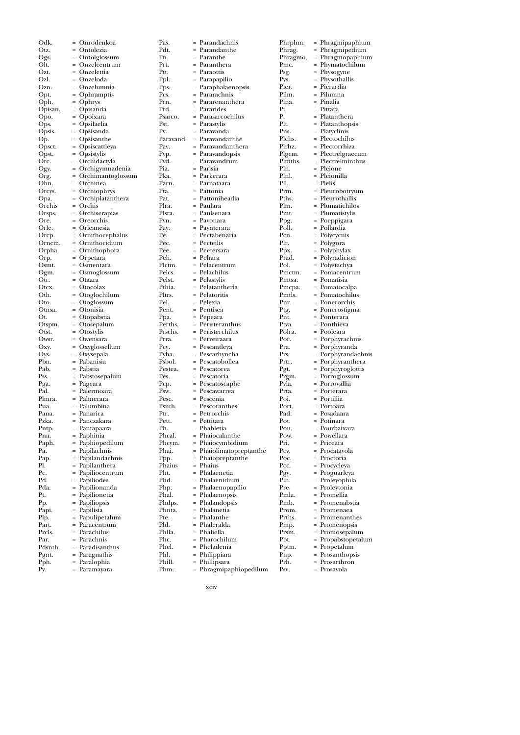| Odk.          | Onrodenkoa                          | Pas.          |
|---------------|-------------------------------------|---------------|
| Otz.          | = Ontolezia                         | Pdt.          |
| Ogs.          | = Ontolglossum                      | Pn.           |
| Olt.          | = Onzelcentrum                      | Prt.          |
| Ozt.          | = Onzelettia                        | Ptt.          |
| Ozl.          | = Onzeloda                          | Ppl.          |
| Ozn.          | = Onzelumnia                        | Pps.          |
| Opt.          | = Ophramptis                        | Pcs.          |
| Oph.          | = Ophrys                            | Prn.          |
| Opisan.       | = Opisanda                          | Prd.          |
| Opo.          | = Opoixara                          | Psarco.       |
| Ops.          | = Opsilaelia                        | Pst.          |
| Opsis.        | = Opsisanda                         | Pv.           |
| Op.           | = Opsisanthe                        | Paravand.     |
| Opsct.        | = Opsiscattleya<br>$=$ Opsistylis   | Pav.          |
| Opst.<br>Orc. | = Orchidactyla                      | Pvp.<br>Pvd.  |
| Ogy.          | = Orchigymnadenia                   | Pia.          |
| Org.          | = Orchimantoglossum                 | Pka.          |
| Ohn.          | = Orchinea                          | Parn.         |
| Orcys.        | = Orchiophrys                       | Pta.          |
| Opa.          | = Orchiplatanthera                  | Pat.          |
| Orchis        | = Orchis                            | Plra.         |
| Orsps.        | = Orchiserapias                     | Plsra.        |
| Ore.          | = Oreorchis                         | Pvn.          |
| Orle.         | = Orleanesia                        | Pay.          |
| Orcp.         | = Ornithocephalus                   | Pe.           |
| Orncm.        | = Ornithocidium                     | Pec.          |
| Orpha.        | = Ornithophora                      | Pee.          |
| Orp.          | = Orpetara                          | Peh.          |
| Osmt.         | = Osmentara                         | Plctm.        |
| Ogm.          | $=$ Osmoglossum                     | Pelcs.        |
| Otr.          | = Otaara                            | Pelst.        |
| Otcx.         | = Otocolax                          | Pthia.        |
| Oth.          | = Otoglochilum                      | Pltrs.        |
| Oto.          | = Otoglossum                        | Pel.          |
| Otnsa.        | = Otonisia                          | Pent.         |
| Ot.           | = Otopabstia                        | Ppa.          |
| Otspm.        | = Otosepalum                        | Perths.       |
| Otst.         | = Otostylis                         | Prschs.       |
| Owsr.         | = Owensara                          | Prra.         |
| Oxy.          | = Oxyglossellum                     | Pcy.          |
| Oys.          | = Oxysepala                         | Pyha.         |
| Pbn.          | = Pabanisia                         | Psbol.        |
| Pab.          | = Pabstia                           | Pestea.       |
| Pss.          | = Pabstosepalum                     | Pes.          |
| Pga.          | = Pageara                           | Pcp.          |
| Pal.          | = Palermoara                        | Psw.          |
| Plmra.        | = Palmerara                         | Pesc.         |
| Pua.          | = Palumbina                         | Psnth.        |
| Pana.         | = Panarica                          | Ptr.          |
| Pzka.         | = Panczakara                        | Pett.         |
| Pntp.         | = Pantapaara                        | Ph.           |
| Pna.          | = Paphinia                          | Phcal.        |
| Paph.         | = Paphiopedilum                     | Phcym.        |
| Pa.           | = Papilachnis                       | Phai.         |
| Pap.          | = Papilandachnis                    | Ppp.          |
| Pl.           | = Papilanthera                      | Phaius        |
| Pc.<br>Pd.    | = Papiliocentrum<br>= Papiliodes    | Pht.<br>Phd.  |
| Pda.          | = Papilionanda                      |               |
| Pt.           | = Papilionetia                      | Php.<br>Phal. |
| Pр.           | = Papiliopsis                       | Phdps.        |
|               |                                     | Phnta.        |
| Papi.<br>Plp. | = Papilisia<br>Papulipetalum<br>$=$ | Pte.          |
| Part.         | = Paracentrum                       | Pld.          |
| Prcls.        | = Parachilus                        | Phlla.        |
| Par.          | = Parachnis                         | Phc.          |
| Pdsnth.       | = Paradisanthus                     | Phel.         |
| Pgnt.         | = Paragnathis                       | Phl.          |
| Pph.          | = Paralophia                        | Phill.        |
| Py.           | = Paramayara                        | Phm.          |
|               |                                     |               |

| Pas.            |     | Parandachnis                  |
|-----------------|-----|-------------------------------|
| Pdt.            |     | Parandanthe                   |
| Pn.             | $=$ | Paranthe                      |
| Prt.            |     | Paranthera                    |
| Ptt.            |     | - Paraottis                   |
| Ppl.            | $=$ | Parapapilio                   |
| Pps.            |     | Paraphalaenopsis              |
| Pcs.            |     | Pararachnis                   |
| Prn.            | $=$ | Pararenanthera                |
| Prd.<br>Psarco. |     | Pararides<br>Parasarcochilus  |
| Pst.            | $=$ | Parastylis                    |
| Pv.             | $=$ | Paravanda                     |
| Paravand.       |     | Paravandanthe                 |
| Pav.            | $=$ | Paravandanthera               |
| Pvp.            |     | Paravandopsis                 |
| Pvd.            |     | Paravandrum                   |
| Pia.            | $=$ | Parisia                       |
| Pka.            |     | Parkerara                     |
| Parn.           |     | Parnataara                    |
| Pta.            | $=$ | Pattonia                      |
| Pat.            |     | : Pattoniheadia               |
| Plra.           |     | = Paulara                     |
| Plsra.          |     | = Paulsenara                  |
| Pvn.            | $=$ | Pavonara                      |
| Pay.            |     | Paynterara                    |
| Pe.             |     | = Pectabenaria                |
| Pec.            |     | Pecteilis                     |
| Pee.            |     | - Peetersara                  |
| Peh.            |     | = Pehara                      |
| Plctm.          |     | = Pelacentrum                 |
| Pelcs.          |     | = Pelachilus                  |
| Pelst.          |     | = Pelastylis                  |
| Pthia.          |     | Pelatantheria                 |
| Pltrs.          |     | Pelatoritis                   |
| Pel.            |     | = Pelexia                     |
| Pent.           |     | = Pentisea                    |
| Ppa.            | $=$ | Pepeara                       |
| Perths.         | $=$ | Peristeranthus                |
| Prschs.         |     | Peristerchilus                |
| Prra.<br>Pcy.   | $=$ | Perreiraara<br>Pescantleya    |
| Pyha.           |     |                               |
| Psbol.          | $=$ | Pescarhyncha<br>Pescatobollea |
| Pestea.         | $=$ | Pescatorea                    |
| Pes.            |     | Pescatoria                    |
| Pcp.            | $=$ | Pescatoscaphe                 |
| Psw.            |     | = Pescawarrea                 |
| Pesc.           |     | = Pescenia                    |
| Psnth.          |     | = Pescoranthes                |
| Ptr.            |     | = Petrorchis                  |
| Pett.           |     | Pettitara                     |
| Ph.             |     | Phabletia                     |
| Phcal.          |     | Phaiocalanthe                 |
| Phcym.          |     | Phaiocymbidium                |
| Phai.           | $=$ | Phaiolimatopreptanthe         |
| Ppp.            | $=$ | Phaiopreptanthe               |
| Phaius          |     | Phaius                        |
| Pht.            | $=$ | Phalaenetia                   |
| Phd.            |     | Phalaenidium                  |
| Php.            |     | Phalaenopapilio               |
| Phal.           | $=$ | Phalaenopsis                  |
| Phdps.          | $=$ | Phalandopsis                  |
| Phnta.          |     | Phalanetia                    |
| Pte.            |     | Phalanthe                     |
| Pld.            | $=$ | Phaleralda                    |
| Phlla.          |     | Phaliella                     |
| Phc.            | $=$ | Pharochilum                   |
| Phel.           | $=$ | Pheladenia                    |
| Phl.            |     | Philippiara                   |
| Phill.          | $=$ | Phillipsara                   |

| Phrphm.  | $=$ |                  |
|----------|-----|------------------|
|          | $=$ | Phragmipaphium   |
| Phrag.   |     | Phragmipedium    |
| Phragmo. | $=$ | Phragmopaphium   |
| Pmc.     | $=$ | Phymatochilum    |
| Psg.     |     | Physogyne        |
| Pys.     | $=$ | Physothallis     |
| Pier.    |     | Pierardia        |
| Pilm.    |     | Pilumna          |
| Pina.    | $=$ | Pinalia          |
| Pi.      |     | Pittara          |
| Р.       |     | Platanthera      |
| Plt.     | $=$ | Platanthopsis    |
| Pns.     |     |                  |
|          |     | Platyclinis      |
| Plchs.   |     | Plectochilus     |
| Plrhz.   | $=$ | Plectorrhiza     |
| Plgcm.   | $=$ | Plectrelgraecum  |
| Plmths.  |     | Plectrelminthus  |
| Pln.     | $=$ | Pleione          |
| Plnl.    |     | Pleionilla       |
| Pll.     |     | = Plelis         |
| Prm.     | $=$ | Pleurobotryum    |
| Pths.    |     | Pleurothallis    |
| Plm.     | $=$ | Plumatichilos    |
| Pmt.     | $=$ | Plumatistylis    |
|          |     |                  |
| Ppg.     |     | Poeppigara       |
| Poll.    |     | Pollardia        |
| Pcn.     | $=$ | Polycycnis       |
| Plr.     | $=$ | Polygora         |
| Ppx.     |     | Polyphylax       |
| Prad.    | $=$ | Polyradicion     |
| Pol.     | $=$ | Polystachya      |
| Pmctm.   |     | Pomacentrum      |
| Pmtsa.   | $=$ | Pomatisia        |
| Pmcpa.   |     | Pomatocalpa      |
| Pmtls.   |     | Pomatochilus     |
| Pnr.     | $=$ | Ponerorchis      |
|          |     |                  |
| Ptg.     |     | Ponerostigma     |
| Pnt.     |     | Ponterara        |
| Ptva.    | $=$ | Ponthieva        |
| Polra.   | $=$ | Pooleara         |
| Por.     |     | Porphyrachnis    |
| Pra.     | $=$ | Porphyranda      |
| Prs.     | $=$ | Porphyrandachnis |
| Prtr.    | $=$ | Porphyranthera   |
| Pgt.     | $=$ | Porphyroglottis  |
| Prgm.    | $=$ | Porroglossum     |
| Pvla.    | $=$ | Porrovallia      |
| Prta.    | $=$ | Porterara        |
|          |     | Portillia        |
| Poi.     |     |                  |
| Port.    | $=$ | Portoara         |
| Pad.     | $=$ | Posadaara        |
| Pot.     |     | Potinara         |
| Pou      |     | = Pourbaixara    |
| Pow.     | $=$ | Powellara        |
| Pri.     |     | Priceara         |
| Pcv.     |     | Procatavola      |
| Poc.     | $=$ | Proctoria        |
| Pcc.     |     | Procycleya       |
| Pgy.     | $=$ | Proguarleya      |
| Plh.     | $=$ | Proleyophila     |
| Pre.     |     |                  |
|          |     | Proleytonia      |
| Pmla.    | $=$ | Promellia        |
| Pmb.     | $=$ | Promenabstia     |
| Prom.    | $=$ | Promenaea        |
| Prths.   | $=$ | Promenanthes     |
| Pmp.     | $=$ | Promenopsis      |
| Prsm.    | =   | Promosepalum     |
| Pbt.     | $=$ | Propabstopetalum |
| Pptm.    | $=$ | Propetalum       |
| Pnp.     |     | Prosanthopsis    |
| Prh.     | $=$ | Prosarthron      |
|          |     |                  |

Psv. = Prosavola

xciv

Phm. = Phragmipaphiopedilum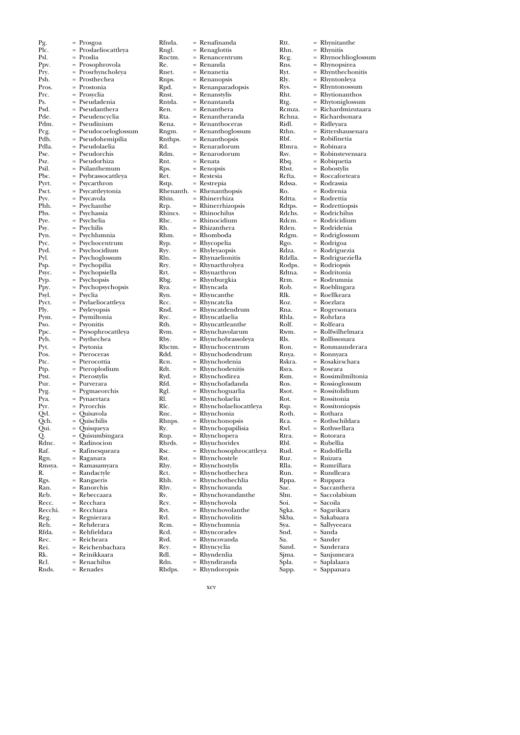$\begin{array}{rcl} \n \text{Pg.} & = \text{Prosgoa} \\ \n \text{Plc} & = \text{Proslael} \n \end{array}$ Plc.  $=$  Proslaeliocattleya<br>Psl  $=$  Proslia Psl. = Proslia<br>Prv. = Prosop Ppv. = Prosophrovola<br>Prv. = Prosrhvnchole  $\Pr_{\text{Psh}} = \Pr_{\text{or} \in \text{Pheh}} = \Pr_{\text{or} \in \text{Pheh}}$ Psh.  $=$  Prosthechea<br>Pros Pros. = Prostonia<br>Prc. = Prosyclia Prc. = Prosyclia<br>Ps. = Pseudade  $\begin{array}{rcl} \text{Ps.} & = & \text{Pseudadenia} \\ \text{Psd} & = & \text{Pseudanther} \end{array}$ Psd. = Pseudanthera<br>Pde. = Pseudencyclia Pde. = Pseudencyclia<br>Pdm. = Pseudinium Pdm. = Pseudinium<br>Pcg. = Pseudocoelo Pcg. = Pseudocoeloglossum<br>Pdh. = Pseudohemipilia Pdh. = Pseudohemipilia<br>Pdla. = Pseudolaelia Pdla. = Pseudolaelia<br>Pse. = Pseudorchis Pse. = Pseudorchis<br>Psz. = Pseudorhiza Psz. = Pseudorhiza Psil. = Psilanthemum<br>Pbc. = Psybrassocattle Pbc. = Psybrassocattleya<br>Pyrt. = Psycarthron Pyrt.  $=$  Psycarthron<br>Psct.  $=$  Psycattlevtor Psct. = Psycattleytonia<br>Pvv = Psycavola Pyv.  $=$  Psycavola<br>
Phh.  $=$  Psychantl Phh.  $=$  Psychanthe<br>Phs.  $=$  Psychassia Phs.  $=$  Psychassia<br>Pve  $=$  Psychelia Pye.  $=$  Psychelia<br>Psy.  $=$  Psychilis Psy.  $=$  Psychilis<br>Pyn.  $=$  Psychlun Pyn.  $=$  Psychlumnia<br>Pyc.  $=$  Psychocentru  $Pyc.$  = Psychocentrum<br>Pyd. = Psychocidium  $Pyd.$  = Psychocidium<br>  $Pvl.$  = Psychoglossum Pyl. = Psychoglossum<br>Psp. = Psychopilia Psp. = Psychopilia<br>Psyc. = Psychopsiel Psyc. = Psychopsiella<br>Pyp. = Psychopsis Pyp.  $=$  Psychopsis<br>Ppy.  $=$  Psychopsyc Psychopsychopsis  $\vec{P}$ syl. = Psyclia<br>Pvct. = Psylael Pyct.  $=$  Psylaeliocattleya<br>Ply  $=$  Psylevonsis Psyleyopsis Pym. = Psymiltonia Pso. = Psyonitis<br>Pnc. = Psysophr Ppc.  $=$  Psysophrocattleya<br>Pyh.  $=$  Psythechea Pyh.  $=$  Psythechea<br>Pyt.  $=$  Psytonia  $\begin{array}{ll}\n\text{Pyt.} & = & \text{Psytonia} \\
\text{Pos} & = & \text{Pterocer}\n\end{array}$ Pos.  $=$  Pteroceras<br>Ptc.  $=$  Pterocottia Ptc. = Pterocottia<br>Ptp. = Pteroplodiu Ptp. = Pteroplodium<br>Ptst. = Pterostvlis Ptst. = Pterostylis<br>Pur. = Purverara Pur. = Purverara<br>Pyg. = Pygmaeor Pyg. = Pygmaeorchis<br>Pya. = Pynaertara Pya. = Pynaertara<br>Pyr. = Pyrorchis  $Pyr.$  = Pyrorchis<br>Qvl. = Quisavola Qvl. = Quisavola<br>Qch. = Quischilis  $\begin{array}{lll} \text{Qch.} & = & \text{Quischilis} \\ \text{Qui.} & = & \text{Quisqueya} \end{array}$ Qui. = Quisqueya<br>Q. = Quisumbir  $\widetilde{Q}$ . =  $\widetilde{Q}$ uisumbingara<br>Rdnc. = Radinocion Rdnc. = Radinocion<br>Raf. = Rafinesquea Raf. = Rafinesqueara<br>Rgn. = Raganara Rgn. = Raganara<br>Rmsya. = Ramasam Rmsya. = Ramasamyara  $R$ . = Randactyle<br>Rgs. = Rangaeris Rgs. = Rangaeris<br>Ran. = Ranorchis  $Ran. = Ranorchis$ <br>  $Reb. = Rebeccaar$ Reb. = Rebeccaara<br>Recc. = Recchara Recc. = Recchara<br>Recchi. = Recchiara Recchiara Reg. = Regnierara<br>Reh. = Rehderara  $R$ eh. =  $R$ ehderara<br> $R$ fda =  $R$ ehfieldara Rfda. = Rehfieldara<br>Rec. = Reicheara Rec. = Reicheara<br>Rei = Reichenba Rei.  $=$  Reichenbachara<br>Rk  $=$  Reinikkaara  $=$  Reinikkaara  $Rcl.$  = Renachilus<br>Rnds = Renades Rdn. = Rhyndiranda<br>Rhdps. = Rhyndoropsis

 $=$  Renades

Rfnda. = Renafinanda<br>Rngl. = Renaglottis = Renaglottis Rnctm. =  $R$ enancentrum<br>Re =  $R$ enanda Re. = Renanda<br>Rnet. = Renaneti Rnet. = Renanetia<br>Rnps. = Renanopsi Rnps. = Renanopsis<br>Rpd. = Renanparao Rpd. = Renanparadopsis<br>Rnst. = Renanstylis Rnst. = Renanstylis<br>Rntda. = Renantandi Rntda. = Renantanda<br>Ren = Renanthera Ren. = Renanthera<br>Rta. = Renanthera Rta. = Renantheranda<br>Rena. = Renanthoceras Rena. = Renanthoceras<br>Rngm. = Renanthoglossi Rngm. = Renanthoglossum<br>Rnthps. = Renanthopsis Rnthps. = Renanthopsis<br>Rd. = Renaradorum  $Rd.$  = Renaradorum<br> $Rdm$  = Renarodorum Rdm. = Renarodorum<br>Rnt. = Renata Rnt. = Renata<br>Rps. = Renops Rps. = Renopsis<br>Ret. = Restesia Ret. = Restesia<br>Rstp. = Restrepi Rstp. = Restrepia<br>Rhenanth. = Rhenanth Rhenanth. = Rhenanthopsis<br>Rhin. = Rhinerrhiza Rhin. = Rhinerrhiza<br>Rrp. = Rhinerrhizo Rrp. = Rhinerrhizopsis  $R$ hincs. = Rhinochilus<br> $R$ hc. = Rhinocidiun Rhc. = Rhinocidium<br>Rh. = Rhizanthera Rh. = Rhizanthera<br>Rhm. = Rhomboda Rhm. = Rhomboda<br>Ryp. = Rhycopelia Ryp. = Rhycopelia<br>Ryy. = Rhyleyaopsi  $Ryy.$  = Rhyleyaopsis<br>Rln. = Rhynaelionit  $\hat{R}$ ln. = Rhynaelionitis<br>Rrv. = Rhynarthrolve Rry.  $=$  Rhynarthrolyea<br>Rrt.  $=$  Rhynarthron Rrt. = Rhynarthron<br>Rbg. = Rhynburgkia Rbg. = Rhynburgkia<br>Rva. = Rhyncada  $Rya.$  = Rhyncada<br>Ryn. = Rhyncantl  $\begin{array}{rcl} Ryn. & = Rhyncan the \ Rcc. & = Rhyncatolia \end{array}$  $Rcc.$  = Rhyncatclia<br>Rnd. = Rhyncatden Rhyncatdendrum  $Ryc.$  = Rhyncatlaelia<br>Rth = Rhyncattlean  $Rth.$  = Rhyncattleanthe<br>Rym = Rhynchavolarum Rvm. = Rhynchavolarum<br>Rby. = Rhynchobrassoley Rby. =  $Rhynchobras soleya$ <br>Rhctm. =  $Rhynchocentrum$  $Rhd$  = Rhynchocentrum<br> $Rdd$  = Rhynchodendrum Rdd. =  $Rhynchodendrum$ <br>Rcn. = Rhynchodenia Rcn. = Rhynchodenia<br>Rdt. = Rhynchodeniti  $Rdt.$  = Rhynchodenitis<br> $Rvd.$  = Rhynchodirea Ryd. = Rhynchodirea<br>Rfd. = Rhynchofadar Rfd. = Rhynchofadanda<br>Rgl. = Rhynchoguarlia  $\begin{array}{lll}\n\text{Rgl.} & = & \text{Rhynchoguarlia} \\
\text{R1} & = & \text{Rhyncholaelia}\n\end{array}$ Rl. = Rhyncholaelia<br>Rlc. = Rhyncholaelio Rlc. = Rhyncholaeliocattleya<br>Rnc. = Rhynchonia Rnc. = Rhynchonia<br>Rhnps. = Rhynchonop Rhnps. = Rhynchonopsis<br> $Rv = Rhynchonapilis$  $Ry.$  = Rhynchopapilisia<br>Rnp. = Rhynchopera  $R$ np. = Rhynchopera<br>Rhrds. = Rhynchorides Rhrds. = Rhynchorides<br>Rsc. = Rhynchosoph Rsc. = Rhynchosophrocattleya<br>Rst. = Rhynchostele Rst.  $=$  Rhynchostele<br>Rhy.  $=$  Rhynchostylis Rhy. = Rhynchostylis<br>Rct. = Rhynchothecl  $Rct.$  = Rhynchothechea<br>Rhh. = Rhynchothechlia Rhh. = Rhynchothechlia<br>Rhy. = Rhynchovanda Rhv. = Rhynchovanda<br>Rv. = Rhynchovanda  $Rv.$  = Rhynchovandanthe<br>Rcv. = Rhynchovola  $Rcv.$  = Rhynchovola<br>Rvt. = Rhynchovola Rvt.  $=$  Rhynchovolanthe<br>Rvl.  $=$  Rhynchovolitis  $Rvl.$  = Rhynchovolitis<br>Rcm. = Rhynchumnia Rcm.  $=$  Rhynchumnia<br>Rcd.  $=$  Rhyncorades  $Rcd.$  = Rhyncorades<br> $Rvd.$  = Rhyncovanda  $Rvd.$  = Rhyncovanda<br> $Rcv.$  = Rhyncyclia  $Rcy. = Rhyncyclia$ <br> $Rdl = Rhyncyclia$  $Rd$ l. = Rhyndenlia<br> $Rd$ n = Rhyndirand

Rtt. = Rhynitanthe<br>Rhn. = Rhynitis = Rhynitis  $Rcg.$  = Rhynochlioglossum<br>Rns. = Rhynopsirea  $R$ ns. = Rhynopsirea<br>Ryt. = Rhynthechor Ryt. = Rhynthechonitis<br>Rly. = Rhyntonleya = Rhyntonleya  $Rys.$  = Rhyntonossum<br>Rht. = Rhytionanthos Rht.  $=$  Rhytionanthos<br>Rtg.  $=$  Rhytoniglossun Rtg. = Rhytoniglossum<br>Rcmza. = Richardmizutaai Rcmza. = Richardmizutaara<br>Rchna. = Richardsonara Rchna. = Richardsonara<br>Ridl. = Ridlevara Ridl. = Ridleyara<br>Rthn = Rittershau Rthn. = Rittershausenara<br>Rbf. = Robifinetia Rbf. = Robifinetia<br>Rbnra. = Robinara Rbnra. = Robinara<br>Rsv. = Robinstev Rsv. = Robinstevensara<br>Rbq. = Robiquetia Rbq. = Robiquetia<br>Rbst. = Robostylis Rbst. = Robostylis<br>Rcfta. = Roccaforte Rcfta. = Roccaforteara<br>Rdssa. = Rodrassia Rdssa. = Rodrassia<br>Ro. = Rodrenia Ro. = Rodrenia Rdtta. = Rodrettia<br>Rdtps. = Rodrettio Rdtps. = Rodrettiopsis<br>Rdchs. = Rodrichilus Rdchs. = Rodrichilus<br>Rdcm. = Rodricidium Rdcm. = Rodricidium<br>Rden. = Rodridenia Rden. = Rodridenia<br>Rdgm. = Rodriglossu Rdgm. = Rodriglossum<br>Rgo. = Rodrigoa Rgo. = Rodrigoa<br>Rdza. = Rodrigue Rdza. = Rodriguezia Rdzlla. = Rodrigueziella<br>Rodps. = Rodriopsis Rodps. = Rodriopsis<br>Rdtna. = Rodritonia Rdtna. = Rodritonia<br>Rrm. = Rodrumnia Rrm. = Rodrumnia<br>Rob. = Roeblingara Rob. = Roeblingara<br>Rlk. = Roellkeara Rlk.  $=$  Roellkeara<br>Roz.  $=$  Roezlara Roz. = Roezlara<br>Rna = Rogerson Rna. = Rogersonara<br>Rhla = Robrlara Rhla. = Rohrlara<br>Rolf = Rolfeara Rolf. = Rolfeara<br>Rwm = Rolfwilh Rwm. = Rolfwilhelmara<br>Rls. = Rollissonara Rls. = Rollissonara<br>Ron. = Ronmaunde Ron. = Ronmaunderara<br>Roya = Ronnyara Rnya. = Ronnyara<br>Rskra. = Rosakirsc Rskra. = Rosakirschara Rsra. = Roseara<br>Rsm. = Rossimi Rsm. = Rossimilmiltonia<br>Ros. = Rossioglossum Ros. = Rossioglossum<br>Rsot. = Rossitolidium Rsot.  $= Rositolidium$ <br>Rot  $= Rositonia$ Rot. = Rossitonia<br>Rsp. = Rossitonio Rsp. = Rossitoniopsis<br>Roth. = Rothara Roth. = Rothara<br>Rca. = Rothsch Rca. = Rothschildara<br>Rwl. = Rothwellara Rwl. = Rothwellara<br>Rtra. = Rotorara Rtra. = Rotorara<br>Rbl. = Rubellia Rbl. = Rubellia<br>Rud. = Rudolfie Rud. = Rudolfiella Ruz. = Ruizara<br>Rlla. = Rumrilla Rlla. = Rumrillara Run. = Rundleara<br>Rppa. = Ruppara Rppa. = Ruppara<br>Sac. = Saccanthe  $Sac.$  = Saccanthera<br>Slm. = Saccolabium Slm. = Saccolabium<br>Soi. = Sacoila Soi. = Sacoila<br>Sgka. = Sagarik Sgka. = Sagarikara<br>Skba. = Sakabaara Skba. = Sakabaara<br>Sva. = Sallvveeara Sya.  $=$  Sallyyeeara<br>Snd  $=$  Sanda  $=$  Sanda Sa. = Sander<br>Sand. = Sander Sand. = Sanderara<br>Sima. = Sanjumear = Sanjumeara Spla. = Saplalaara Sapp. = Sappanara

xcv

= Rhyndoropsis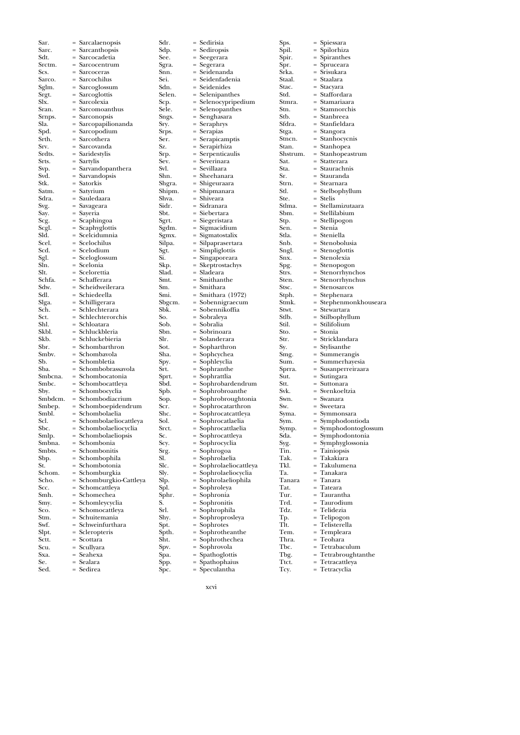| Sar.           | $=$ Sarcalaenopsis                           | Sdr.            | = Sedirisia                         |
|----------------|----------------------------------------------|-----------------|-------------------------------------|
| Sarc.          | = Sarcanthopsis                              | Sdp.            | = Sediropsis                        |
| Sdt.<br>Srctm. | = Sarcocadetia<br>= Sarcocentrum             | See.            | = Seegerara<br>= Segerara           |
| Scs.           | = Sarcoceras                                 | Sgra.<br>Snn.   | = Seidenanda                        |
| Sarco.         | = Sarcochilus                                | Sei.            | = Seidenfadeni:                     |
| Sglm.          | = Sarcoglossum                               | Sdn.            | = Seidenides                        |
| Srgt.          | = Sarcoglottis                               | Selen.          | = Selenipanther                     |
| Slx.           | = Sarcolexia                                 | Scp.            | = Selenocypripe                     |
| Sran.          | = Sarcomoanthus                              | Sele.           | $=$ Selenopanthe                    |
| Srnps.<br>Sla. | = Sarconopsis<br>= Sarcopapilionanda         | Sngs.<br>Sry.   | = Senghasara<br>$=$ Seraphrys       |
| Spd.           | = Sarcopodium                                | Srps.           | $=$ Serapias                        |
| Srth.          | = Sarcothera                                 | Ser.            | = Serapicamptis                     |
| Srv.           | = Sarcovanda                                 | Sz.             | = Serapirhiza                       |
| Srdts.         | = Saridestylis                               | Srp.            | = Serpenticauli:                    |
| Srts.          | = Sartylis                                   | Sev.            | = Severinara                        |
| Svp.<br>Svd.   | $=$ Sarvandopanthera<br>= Sarvandopsis       | Svl.<br>Shn.    | = Sevillaara<br>= Sheehanara        |
| Stk.           | = Satorkis                                   | Shgra.          | = Shigeuraara                       |
| Satm.          | = Satyrium                                   | Shipm.          | = Shipmanara                        |
| Sdra.          | = Sauledaara                                 | Shva.           | = Shiveara                          |
| Svg.           | = Savageara                                  | Sidr.           | = Sidranara                         |
| Say.           | = Sayeria                                    | Sbt.            | = Siebertara                        |
| Scg.           | = Scaphingoa                                 | Sgrt.           | = Siegeristara                      |
| Scgl.          | = Scaphyglottis<br>= Scelcidumnia            | Sgdm.           | = Sigmacidium                       |
| Sld.<br>Scel.  | = Scelochilus                                | Sgmx.<br>Silpa. | = Sigmatostalix<br>= Silpaprasertai |
| Scd.           | = Scelodium                                  | Sgt.            | $=$ Simpliglottis                   |
| Sgl.           | = Sceloglossum                               | Si.             | = Singaporeara                      |
| Sln.           | = Scelonia                                   | Skp.            | = Skeptrostachy                     |
| Slt.           | = Scelorettia                                | Slad.           | = Sladeara                          |
| Schfa.         | = Schafferara                                | Smt.            | = Smithanthe                        |
| Sdw.           | = Scheidweilerara                            | Sm.             | = Smithara                          |
| Sdl.           | = Schiedeella                                | Smi.            | $=$ Smithara (19)                   |
| Slga.<br>Sch.  | = Schilligerara<br>= Schlechterara           | Sbgcm.<br>Sbk.  | = Sobennigraec<br>= Sobennikoffia   |
| Sct.           | = Schlechterorchis                           | So.             | = Sobraleya                         |
| Shl.           | = Schloatara                                 | Sob.            | = Sobralia                          |
| Skbl.          | = Schluckbleria                              | Sbn.            | = Sobrinoara                        |
| Skb.           | = Schluckebieria                             | Slr.            | = Solanderara                       |
| Sbr.           | = Schombarthron                              | Sot.            | = Sopharthron                       |
| Smbv.          | = Schombavola                                | Sha.            | = Sophcychea                        |
| Sb.<br>Sba.    | = Schombletia<br>= Schombobrassavola         | Spy.<br>Srt.    | = Sophleyclia                       |
| Smbcna.        | = Schombocatonia                             | Sprt.           | = Sophranthe<br>= Sophrattlia       |
| Smbc.          | $=$ Schombocattleya                          | Sbd.            | = Sophrobarder                      |
| Sby.           | = Schombocyclia                              | Spb.            | = Sophrobroan                       |
| Smbdcm.        | = Schombodiacrium                            | Sop.            | = Sophrobroug                       |
| Smbep.         | = Schomboepidendrum                          | Scr.            | = Sophrocatartl                     |
| Smbl.          | = Schombolaelia                              | Shc.            | = Sophrocatcat                      |
| Scl.           | = Schombolaeliocattleya                      | Sol.            | = Sophrocatlael                     |
| Sbc.<br>Smlp.  | = Schombolaeliocyclia<br>= Schombolaeliopsis | Srct.<br>Sc.    | = Sophrocattlae<br>= Sophrocattley  |
| Smbna.         | = Schombonia                                 | Scy.            | = Sophrocyclia                      |
| Smbts.         | = Schombonitis                               | Srg.            | = Sophrogoa                         |
| Sbp.           | = Schombophila                               | SI.             | = Sophrolaelia                      |
| St.            | = Schombotonia                               | Slc.            | = Sophrolaelioo                     |
| Schom.         | = Schomburgkia                               | Sly.            | = Sophrolaelioo                     |
| Scho.          | = Schomburgkio-Cattleya                      | Slp.            | = Sophrolaeliop                     |
| Scc.           | = Schomcattleya                              | Spl.            | = Sophroleya                        |
| Smh.<br>Smy.   | = Schomechea<br>= Schomleycyclia             | Sphr.<br>S.     | = Sophronia<br>= Sophronitis        |
| Sco.           | = Schomocattleya                             | Srl.            | = Sophrophila                       |
| Stm.           | = Schuitemania                               | Shy.            | = Sophroprosle                      |
| Swf.           | = Schweinfurthara                            | Spt.            | $=$ Sophrotes                       |
| Slpt.          | = Scleropteris                               | Spth.           | = Sophrothean                       |
| Sctt.          | = Scottara                                   | Sht.            | = Sophrothech                       |
| Scu.           | = Scullyara                                  | Spv.            | = Sophrovola                        |
| Sxa.           | = Seahexa                                    | Spa.            | = Spathoglottis                     |
| Se.<br>Sed.    | = Sealara<br>= Sedirea                       | Spp.<br>Spc.    | = Spathophaius<br>= Speculantha     |
|                |                                              |                 |                                     |

Sdr. = Sedirisia<br>Sdp. = Sedirops<br>See. = Seegerar = Sediropsis See. = Seegerara Sgra. = Segerara Snn. = Seidenanda Sei. = Seidenfadenia Sdn. = Seidenides elen. = Selenipanthes<br>
cp. = Selenocypripe<br>
ele. = Selenopanthes  $=$  Selenocypripedium<br> $=$  Selenopanthes de. = Selenopanthes<br>gs. = Senghasara = Senghasara<br>= Seraphrys ry. = Seraphrys<br>rps. = Serapias rps. = Serapias<br>er. = Serapica  $=$  Serapicamptis<br> $=$  Serapirhiza z.  $=$  Serapirhiza<br>rp.  $=$  Serpenticau  $\text{S} = \text{S} = \text{S} = \text{S} = \text{S} = \text{S} = \text{S} = \text{S} = \text{S} = \text{S} = \text{S} = \text{S} = \text{S} = \text{S} = \text{S} = \text{S} = \text{S} = \text{S} = \text{S} = \text{S} = \text{S} = \text{S} = \text{S} = \text{S} = \text{S} = \text{S} = \text{S} = \text{S} = \text{S} = \text{S} = \text{S} = \text{S} = \text{S} = \text{S} = \text{S} = \text{S} = \text{S$ Sev. = Severinara Svl. = Sevillaara Shn. = Sheehanara igra. = Shigeuraara<br>iipm. = Shipmanara ipm. = Shipmanara<br>wa. = Shiveara hva. = Shiveara<br>idr. = Sidranara Sidr. = Sidranara ot. = Siebertara<br>grt. = Siegeristara Sgrt. = Siegeristara s<br>gdm. = Sigmacidium<br>gmx. = Sigmatostalix  $\lim_{\text{cm}}$  = Sigmatostalix<br>lpa. = Silpaprasertar Silpaprasertara Sgt. = Simpliglottis Si. = Singaporeara Skp. = Skeptrostachys Slad. = Sladeara mt.  $=$  Smithanthe<br>m.  $=$  Smithara m. = Smithara<br>mi. = Smithara Smi. = Smithara (1972) Sbgcm. = Sobennigraecum Sbk. = Sobennikoffia  $\lambda$  = Sobraleya<br>  $\lambda$  = Sobralia  $\begin{array}{rcl} \text{Sobrali} & = & \text{Sobrali} \\ \text{Sobrali} & = & \text{Sobrali} \\ \text{Sobrino} & = & \text{Sobrino} \end{array}$ bn. = Sobrinoara<br>
|- Sobrinoara<br>
|- Solanderara Slr. = Solanderara Sot. = Sopharthron Sha. = Sophcychea py. = Sophleyclia<br>rt. = Sophranthe rt. = Sophranthe<br>prt. = Sophrattlia ort. = Sophrattlia<br>od. = Sophrobard bd. = Sophrobardendrum<br>pb. = Sophrobroanthe  $\begin{array}{lll} \text{p} \text{b.} & = \text{Sophrobroanthe} \\ \text{sp.} & = \text{Sophrobroughto} \end{array}$ Sophrobroughtonia<br>
sophrocatarthron<br>
sophrocatarthron Scr. = Sophrocatarthron hc. = Sophrocatcattleya<br>ol. = Sophrocatlaelia ol. = Sophrocatlaelia<br>rct. = Sophrocattlaelia  $=$  Sophrocattlaelia<br> $=$  Sophrocattleya  $\begin{array}{lll} \text{c.} & = \text{Sophrocattleya} \\ \text{c.} & = \text{Sophrocyclia} \end{array}$  $\begin{array}{lll} \text{cyc} & = & \text{Sophrocyclia} \\ \text{cyc} & = & \text{Sophrogoa} \end{array}$  $=$  Sophrogoa<br> $=$  Sophrolaeli Sl. = Sophrolaelia c. = Sophrolaeliocattleya<br>y. = Sophrolaeliocyclia y. = Sophrolaeliocyclia<br>p. = Sophrolaeliophila p. = Sophrolaeliophila<br>pl. = Sophroleya  $\hat{\text{ph}}$ . = Sophroleya<br>phr. = Sophronia Sphr. = Sophronia S. = Sophronitis Srl. = Sophrophila Shy. = Sophroprosleya Spt. = Sophrotes Spth. = Sophrotheanthe Sht. = Sophrothechea Spv. = Sophrovola

| Sps.     |     | = Spiessara           |
|----------|-----|-----------------------|
| Spil.    |     | = Spilorhiza          |
| Spir.    |     | = Spiranthes          |
| Spr.     |     | = Spruceara           |
| Srka.    |     | = Srisukara           |
| Staal.   |     | = Staalara            |
| Stac.    |     | = Stacyara            |
| Std.     |     | = Staffordara         |
|          |     | = Stamariaara         |
| Stmra.   |     |                       |
| Stn.     |     | = Stamnorchis         |
| Stb.     |     | = Stanbreea           |
| Sfdra.   |     | = Stanfieldara        |
| Stga.    |     | = Stangora            |
| Stncn.   |     | = Stanhocycnis        |
| Stan.    |     | = Stanhopea           |
| Shstrum. |     | = Stanhopeastrum      |
| Sat.     |     | $=$ Statterara        |
| Sta.     |     | = Staurachnis         |
| Sr.      |     | = Stauranda           |
| Strn.    |     | = Stearnara           |
| Stl.     |     | = Stelbophyllum       |
| Ste.     |     | = Stelis              |
| Stlma.   |     | = Stellamizutaara     |
| Sbm.     |     | = Stellilabium        |
|          |     |                       |
| Stp.     |     | = Stellipogon         |
| Sen.     |     | = Stenia              |
| Stla.    |     | = Steniella           |
| Snb.     |     | = Stenobolusia        |
| Sngl.    |     | = Stenoglottis        |
| Snx.     |     | = Stenolexia          |
| Spg.     |     | = Stenopogon          |
| Strs.    |     | = Stenorrhynchos      |
| Sten.    |     | = Stenorrhynchus      |
| Stsc.    |     | = Stenosarcos         |
| Stph.    |     | = Stephenara          |
| Stmk.    |     | = Stephenmonkhouseara |
|          |     |                       |
| Stwt.    |     | = Stewartara          |
| Stlb.    |     | = Stilbophyllum       |
| Stil.    |     | = Stilifolium         |
| Sto.     |     | = Stonia              |
| Str.     |     | = Stricklandara       |
| Sy.      |     | = Stylisanthe         |
| Smg.     |     | = Summerangis         |
| Sum.     |     | = Summerhayesia       |
| Sprra.   | $=$ | Susanperreiraara      |
| Sut.     |     | = Sutingara           |
| Stt.     |     | = Suttonara           |
| Svk.     |     | = Svenkoeltzia        |
| Swn.     |     | = Swanara             |
|          |     |                       |
| Sw.      |     | = Sweetara            |
| Syma.    |     | = Symmonsara          |
| Sym.     | $=$ | Symphodontioda        |
| Symp.    |     | Symphodontoglossum    |
| Sda.     | =   | Symphodontonia        |
| Syg.     | $=$ | Symphyglossonia       |
| Tin.     | $=$ | Tainiopsis            |
| Tak.     | $=$ | Takakiara             |
| Tkl.     |     | Takulumena            |
| Тa.      | $=$ | Tanakara              |
| Tanara   | $=$ | Tanara                |
| Tat.     |     | Tateara               |
| Tur.     | $=$ | Taurantha             |
| Trd.     |     | = Taurodium           |
| Tdz.     |     | = Telidezia           |
|          |     |                       |
| Tр.      | $=$ | Telipogon             |
| Tlt.     |     | = Telisterella        |
| Tem.     | $=$ | Templeara             |
| Thra.    | $=$ | Teohara               |
| Tbc.     | $=$ | Tetrabaculum          |
| Tbg.     | $=$ | Tetrabroughtanthe     |
| Ttct.    |     | = Tetracattleya       |
| Tcy.     | $=$ | Tetracyclia           |

xcvi